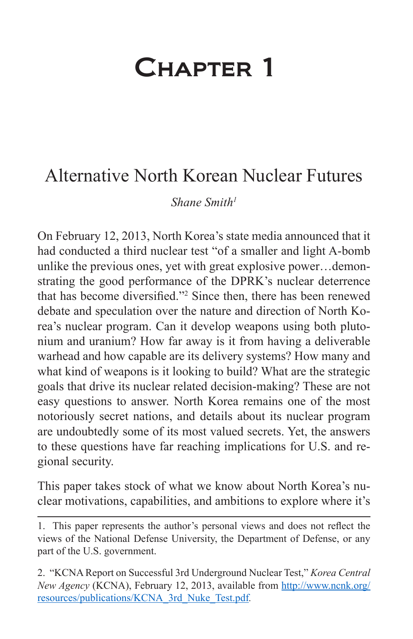# Chapter 1

# Alternative North Korean Nuclear Futures

*Shane Smith1*

On February 12, 2013, North Korea's state media announced that it had conducted a third nuclear test "of a smaller and light A-bomb unlike the previous ones, yet with great explosive power…demonstrating the good performance of the DPRK's nuclear deterrence that has become diversified."<sup>2</sup> Since then, there has been renewed debate and speculation over the nature and direction of North Korea's nuclear program. Can it develop weapons using both plutonium and uranium? How far away is it from having a deliverable warhead and how capable are its delivery systems? How many and what kind of weapons is it looking to build? What are the strategic goals that drive its nuclear related decision-making? These are not easy questions to answer. North Korea remains one of the most notoriously secret nations, and details about its nuclear program are undoubtedly some of its most valued secrets. Yet, the answers to these questions have far reaching implications for U.S. and regional security.

This paper takes stock of what we know about North Korea's nuclear motivations, capabilities, and ambitions to explore where it's

<sup>1.</sup> This paper represents the author's personal views and does not reflect the views of the National Defense University, the Department of Defense, or any part of the U.S. government.

<sup>2. &</sup>quot;KCNA Report on Successful 3rd Underground Nuclear Test," *Korea Central New Agency* (KCNA), February 12, 2013, available from [http://www.ncnk.org/](http://www.ncnk.org/resources/publications/KCNA_3rd_Nuke_Test.pdf) [resources/publications/KCNA\\_3rd\\_Nuke\\_Test.pdf](http://www.ncnk.org/resources/publications/KCNA_3rd_Nuke_Test.pdf)*.*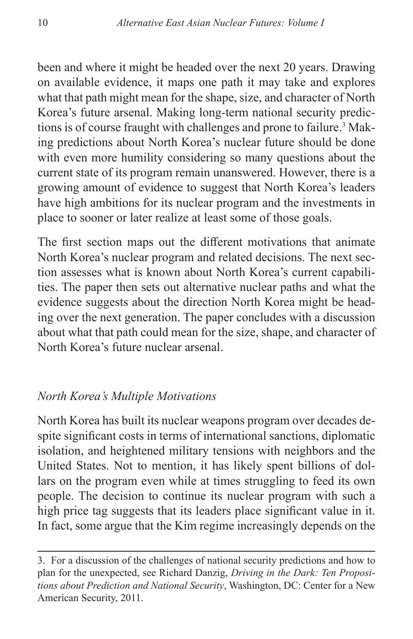been and where it might be headed over the next 20 years. Drawing on available evidence, it maps one path it may take and explores what that path might mean for the shape, size, and character of North Korea's future arsenal. Making long-term national security predictions is of course fraught with challenges and prone to failure.3 Making predictions about North Korea's nuclear future should be done with even more humility considering so many questions about the current state of its program remain unanswered. However, there is a growing amount of evidence to suggest that North Korea's leaders have high ambitions for its nuclear program and the investments in place to sooner or later realize at least some of those goals.

The first section maps out the different motivations that animate North Korea's nuclear program and related decisions. The next section assesses what is known about North Korea's current capabilities. The paper then sets out alternative nuclear paths and what the evidence suggests about the direction North Korea might be heading over the next generation. The paper concludes with a discussion about what that path could mean for the size, shape, and character of North Korea's future nuclear arsenal.

# *North Korea's Multiple Motivations*

North Korea has built its nuclear weapons program over decades despite significant costs in terms of international sanctions, diplomatic isolation, and heightened military tensions with neighbors and the United States. Not to mention, it has likely spent billions of dollars on the program even while at times struggling to feed its own people. The decision to continue its nuclear program with such a high price tag suggests that its leaders place significant value in it. In fact, some argue that the Kim regime increasingly depends on the

<sup>3.</sup> For a discussion of the challenges of national security predictions and how to plan for the unexpected, see Richard Danzig, *Driving in the Dark: Ten Propositions about Prediction and National Security*, Washington, DC: Center for a New American Security, 2011.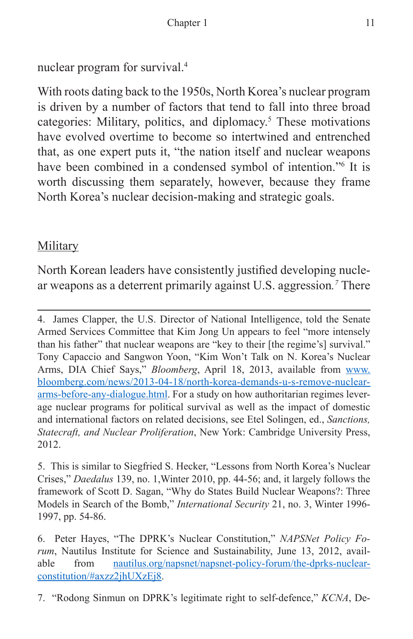nuclear program for survival.4

With roots dating back to the 1950s, North Korea's nuclear program is driven by a number of factors that tend to fall into three broad categories: Military, politics, and diplomacy.<sup>5</sup> These motivations have evolved overtime to become so intertwined and entrenched that, as one expert puts it, "the nation itself and nuclear weapons have been combined in a condensed symbol of intention."<sup>6</sup> It is worth discussing them separately, however, because they frame North Korea's nuclear decision-making and strategic goals.

# Military

North Korean leaders have consistently justified developing nuclear weapons as a deterrent primarily against U.S. aggression*. <sup>7</sup>* There

<sup>4.</sup> James Clapper, the U.S. Director of National Intelligence, told the Senate Armed Services Committee that Kim Jong Un appears to feel "more intensely than his father" that nuclear weapons are "key to their [the regime's] survival." Tony Capaccio and Sangwon Yoon, "Kim Won't Talk on N. Korea's Nuclear Arms, DIA Chief Says," *Bloomberg*, April 18, 2013, available from [www.](https://www.bloomberg.com/news/articles/2013-04-18/north-korea-demands-u-s-remove-nuclear-arms-before-any-dialogue) [bloomberg.com/news/2013-04-18/north-korea-demands-u-s-remove-nuclear](https://www.bloomberg.com/news/articles/2013-04-18/north-korea-demands-u-s-remove-nuclear-arms-before-any-dialogue)[arms-before-any-dialogue.html.](https://www.bloomberg.com/news/articles/2013-04-18/north-korea-demands-u-s-remove-nuclear-arms-before-any-dialogue) For a study on how authoritarian regimes leverage nuclear programs for political survival as well as the impact of domestic and international factors on related decisions, see Etel Solingen, ed., *Sanctions, Statecraft, and Nuclear Proliferation*, New York: Cambridge University Press, 2012.

<sup>5.</sup> This is similar to Siegfried S. Hecker, "Lessons from North Korea's Nuclear Crises," *Daedalus* 139, no. 1,Winter 2010, pp. 44-56; and, it largely follows the framework of Scott D. Sagan, "Why do States Build Nuclear Weapons?: Three Models in Search of the Bomb," *International Security* 21, no. 3, Winter 1996- 1997, pp. 54-86.

<sup>6.</sup> Peter Hayes, "The DPRK's Nuclear Constitution," *NAPSNet Policy Forum*, Nautilus Institute for Science and Sustainability, June 13, 2012, available from [nautilus.org/napsnet/napsnet-policy-forum/the-dprks-nuclear](http://nautilus.org/napsnet/napsnet-policy-forum/the-dprks-nuclear-constitution/#axzz2jhUXzEj8)[constitution/#axzz2jhUXzEj8.](http://nautilus.org/napsnet/napsnet-policy-forum/the-dprks-nuclear-constitution/#axzz2jhUXzEj8)

<sup>7. &</sup>quot;Rodong Sinmun on DPRK's legitimate right to self-defence," *KCNA*, De-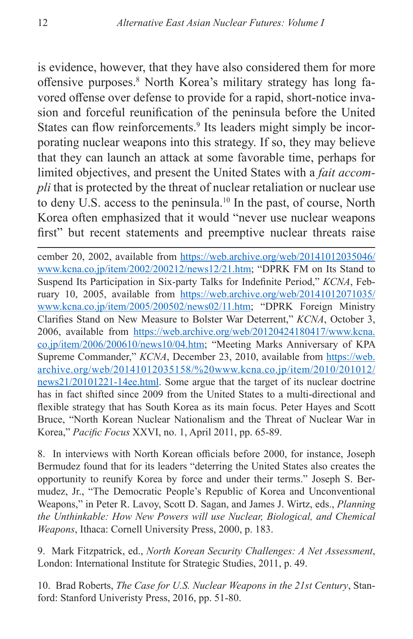is evidence, however, that they have also considered them for more offensive purposes.<sup>8</sup> North Korea's military strategy has long favored offense over defense to provide for a rapid, short-notice invasion and forceful reunification of the peninsula before the United States can flow reinforcements.<sup>9</sup> Its leaders might simply be incorporating nuclear weapons into this strategy. If so, they may believe that they can launch an attack at some favorable time, perhaps for limited objectives, and present the United States with a *fait accompli* that is protected by the threat of nuclear retaliation or nuclear use to deny U.S. access to the peninsula.10 In the past, of course, North Korea often emphasized that it would "never use nuclear weapons first" but recent statements and preemptive nuclear threats raise

cember 20, 2002, available from [https://web.archive.org/web/20141012035046/](https://web.archive.org/web/20141012035046/www.kcna.co.jp/item/2002/200212/news12/21.htm) [www.kcna.co.jp/item/2002/200212/news12/21.htm;](https://web.archive.org/web/20141012035046/www.kcna.co.jp/item/2002/200212/news12/21.htm) "DPRK FM on Its Stand to Suspend Its Participation in Six-party Talks for Indefinite Period," *KCNA*, February 10, 2005, available from [https://web.archive.org/web/20141012071035/](https://web.archive.org/web/20141012071035/www.kcna.co.jp/item/2005/200502/news02/11.htm) [www.kcna.co.jp/item/2005/200502/news02/11.htm;](https://web.archive.org/web/20141012071035/www.kcna.co.jp/item/2005/200502/news02/11.htm) "DPRK Foreign Ministry Clarifies Stand on New Measure to Bolster War Deterrent," *KCNA*, October 3, 2006, available from [https://web.archive.org/web/20120424180417/www.kcna.](https://web.archive.org/web/20120424180417/www.kcna.co.jp/item/2006/200610/news10/04.htm) [co.jp/item/2006/200610/news10/04.htm;](https://web.archive.org/web/20120424180417/www.kcna.co.jp/item/2006/200610/news10/04.htm) "Meeting Marks Anniversary of KPA Supreme Commander," *KCNA*, December 23, 2010, available from [https://web.](https://web.archive.org/web/20141012035158/%20www.kcna.co.jp/item/2010/201012/news21/20101221-14ee.html) [archive.org/web/20141012035158/%20www.kcna.co.jp/item/2010/201012/](https://web.archive.org/web/20141012035158/%20www.kcna.co.jp/item/2010/201012/news21/20101221-14ee.html) [news21/20101221-14ee.html](https://web.archive.org/web/20141012035158/%20www.kcna.co.jp/item/2010/201012/news21/20101221-14ee.html). Some argue that the target of its nuclear doctrine has in fact shifted since 2009 from the United States to a multi-directional and flexible strategy that has South Korea as its main focus. Peter Hayes and Scott Bruce, "North Korean Nuclear Nationalism and the Threat of Nuclear War in Korea," *Pacific Focus* XXVI, no. 1, April 2011, pp. 65-89.

8. In interviews with North Korean officials before 2000, for instance, Joseph Bermudez found that for its leaders "deterring the United States also creates the opportunity to reunify Korea by force and under their terms." Joseph S. Bermudez, Jr., "The Democratic People's Republic of Korea and Unconventional Weapons," in Peter R. Lavoy, Scott D. Sagan, and James J. Wirtz, eds., *Planning the Unthinkable: How New Powers will use Nuclear, Biological, and Chemical Weapons*, Ithaca: Cornell University Press, 2000, p. 183.

9. Mark Fitzpatrick, ed., *North Korean Security Challenges: A Net Assessment*, London: International Institute for Strategic Studies, 2011, p. 49.

10. Brad Roberts, *The Case for U.S. Nuclear Weapons in the 21st Century*, Stanford: Stanford Univeristy Press, 2016, pp. 51-80.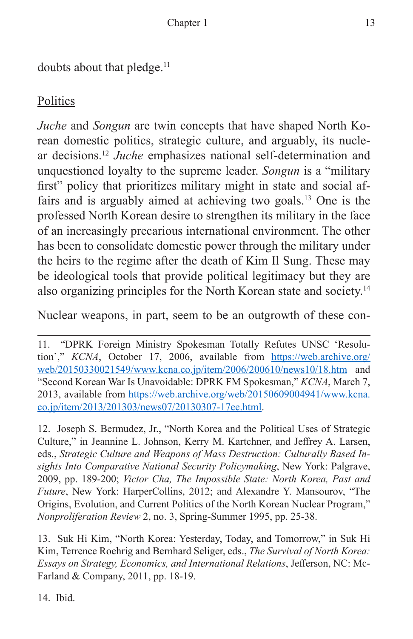doubts about that pledge.<sup>11</sup>

# **Politics**

*Juche* and *Songun* are twin concepts that have shaped North Korean domestic politics, strategic culture, and arguably, its nuclear decisions.12 *Juche* emphasizes national self-determination and unquestioned loyalty to the supreme leader. *Songun* is a "military first" policy that prioritizes military might in state and social affairs and is arguably aimed at achieving two goals.13 One is the professed North Korean desire to strengthen its military in the face of an increasingly precarious international environment. The other has been to consolidate domestic power through the military under the heirs to the regime after the death of Kim Il Sung. These may be ideological tools that provide political legitimacy but they are also organizing principles for the North Korean state and society.14

Nuclear weapons, in part, seem to be an outgrowth of these con-

12. Joseph S. Bermudez, Jr., "North Korea and the Political Uses of Strategic Culture," in Jeannine L. Johnson, Kerry M. Kartchner, and Jeffrey A. Larsen, eds., *Strategic Culture and Weapons of Mass Destruction: Culturally Based Insights Into Comparative National Security Policymaking*, New York: Palgrave, 2009, pp. 189-200; *Victor Cha, The Impossible State: North Korea, Past and Future*, New York: HarperCollins, 2012; and Alexandre Y. Mansourov, "The Origins, Evolution, and Current Politics of the North Korean Nuclear Program," *Nonproliferation Review* 2, no. 3, Spring-Summer 1995, pp. 25-38.

13. Suk Hi Kim, "North Korea: Yesterday, Today, and Tomorrow," in Suk Hi Kim, Terrence Roehrig and Bernhard Seliger, eds., *The Survival of North Korea: Essays on Strategy, Economics, and International Relations*, Jefferson, NC: Mc-Farland & Company, 2011, pp. 18-19.

14. Ibid.

<sup>11. &</sup>quot;DPRK Foreign Ministry Spokesman Totally Refutes UNSC 'Resolution'," *KCNA*, October 17, 2006, available from [https://web.archive.org/](https://web.archive.org/web/20150330021549/www.kcna.co.jp/item/2006/200610/news10/18.htm) [web/20150330021549/www.kcna.co.jp/item/2006/200610/news10/18.htm](https://web.archive.org/web/20150330021549/www.kcna.co.jp/item/2006/200610/news10/18.htm) and "Second Korean War Is Unavoidable: DPRK FM Spokesman," *KCNA*, March 7, 2013, available from [https://web.archive.org/web/20150609004941/www.kcna.](https://web.archive.org/web/20150609004941/www.kcna.co.jp/item/2013/201303/news07/20130307-17ee.html) [co.jp/item/2013/201303/news07/20130307-17ee.html.](https://web.archive.org/web/20150609004941/www.kcna.co.jp/item/2013/201303/news07/20130307-17ee.html)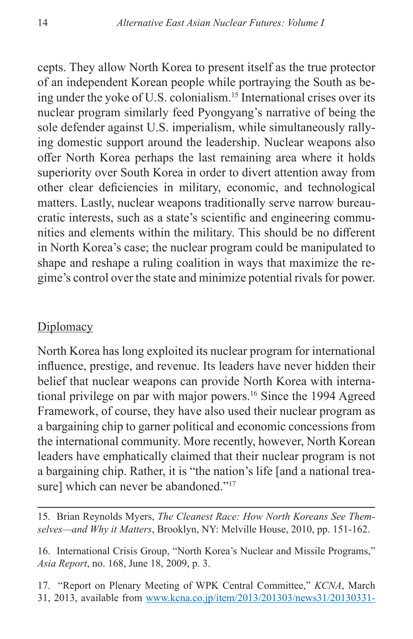cepts. They allow North Korea to present itself as the true protector of an independent Korean people while portraying the South as being under the yoke of U.S. colonialism.15 International crises over its nuclear program similarly feed Pyongyang's narrative of being the sole defender against U.S. imperialism, while simultaneously rallying domestic support around the leadership. Nuclear weapons also offer North Korea perhaps the last remaining area where it holds superiority over South Korea in order to divert attention away from other clear deficiencies in military, economic, and technological matters. Lastly, nuclear weapons traditionally serve narrow bureaucratic interests, such as a state's scientific and engineering communities and elements within the military. This should be no different in North Korea's case; the nuclear program could be manipulated to shape and reshape a ruling coalition in ways that maximize the regime's control over the state and minimize potential rivals for power.

#### **Diplomacy**

North Korea has long exploited its nuclear program for international influence, prestige, and revenue. Its leaders have never hidden their belief that nuclear weapons can provide North Korea with international privilege on par with major powers.<sup>16</sup> Since the 1994 Agreed Framework, of course, they have also used their nuclear program as a bargaining chip to garner political and economic concessions from the international community. More recently, however, North Korean leaders have emphatically claimed that their nuclear program is not a bargaining chip. Rather, it is "the nation's life [and a national treasure] which can never be abandoned."<sup>17</sup>

15. Brian Reynolds Myers, *The Cleanest Race: How North Koreans See Themselves—and Why it Matters*, Brooklyn, NY: Melville House, 2010, pp. 151-162.

16. International Crisis Group, "North Korea's Nuclear and Missile Programs," *Asia Report*, no. 168, June 18, 2009, p. 3.

17. "Report on Plenary Meeting of WPK Central Committee," *KCNA*, March 31, 2013, available from [www.kcna.co.jp/item/2013/201303/news31/20130331-](https://web.archive.org/web/20150403171327/www.kcna.co.jp/item/2013/201303/news31/20130331-24ee.html)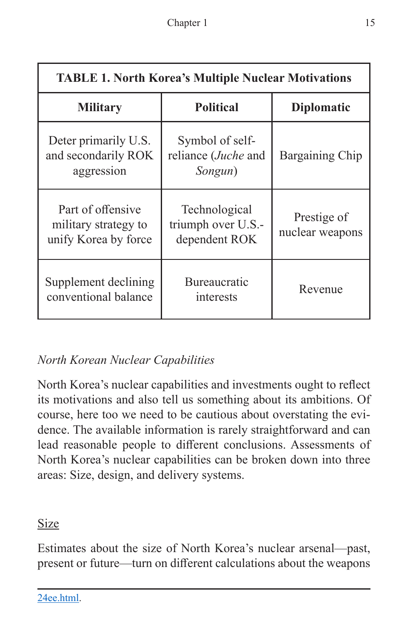| <b>TABLE 1. North Korea's Multiple Nuclear Motivations</b>        |                                                           |                                |
|-------------------------------------------------------------------|-----------------------------------------------------------|--------------------------------|
| <b>Military</b>                                                   | <b>Political</b>                                          | <b>Diplomatic</b>              |
| Deter primarily U.S.<br>and secondarily ROK<br>aggression         | Symbol of self-<br>reliance ( <i>Juche</i> and<br>Songun) | Bargaining Chip                |
| Part of offensive<br>military strategy to<br>unify Korea by force | Technological<br>triumph over U.S.-<br>dependent ROK      | Prestige of<br>nuclear weapons |
| Supplement declining<br>conventional balance                      | <b>Bureaucratic</b><br>interests                          | Revenue                        |

# *North Korean Nuclear Capabilities*

North Korea's nuclear capabilities and investments ought to reflect its motivations and also tell us something about its ambitions. Of course, here too we need to be cautious about overstating the evidence. The available information is rarely straightforward and can lead reasonable people to different conclusions. Assessments of North Korea's nuclear capabilities can be broken down into three areas: Size, design, and delivery systems.

# Size

Estimates about the size of North Korea's nuclear arsenal—past, present or future—turn on different calculations about the weapons

[24ee.html.](https://web.archive.org/web/20150403171327/www.kcna.co.jp/item/2013/201303/news31/20130331-24ee.html)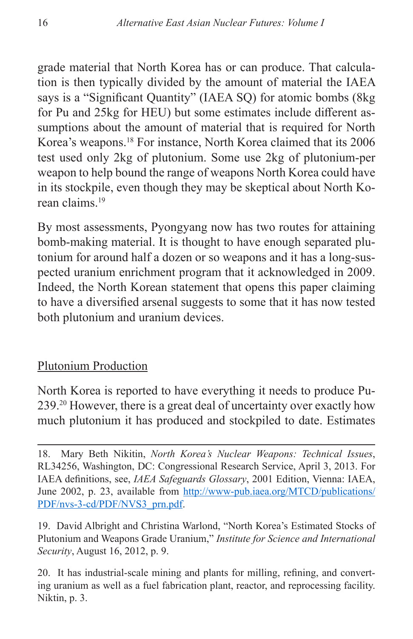grade material that North Korea has or can produce. That calculation is then typically divided by the amount of material the IAEA says is a "Significant Quantity" (IAEA SQ) for atomic bombs (8kg for Pu and 25kg for HEU) but some estimates include different assumptions about the amount of material that is required for North Korea's weapons.18 For instance, North Korea claimed that its 2006 test used only 2kg of plutonium. Some use 2kg of plutonium-per weapon to help bound the range of weapons North Korea could have in its stockpile, even though they may be skeptical about North Korean claims.19

By most assessments, Pyongyang now has two routes for attaining bomb-making material. It is thought to have enough separated plutonium for around half a dozen or so weapons and it has a long-suspected uranium enrichment program that it acknowledged in 2009. Indeed, the North Korean statement that opens this paper claiming to have a diversified arsenal suggests to some that it has now tested both plutonium and uranium devices.

# Plutonium Production

North Korea is reported to have everything it needs to produce Pu-239.20 However, there is a great deal of uncertainty over exactly how much plutonium it has produced and stockpiled to date. Estimates

19. David Albright and Christina Warlond, "North Korea's Estimated Stocks of Plutonium and Weapons Grade Uranium," *Institute for Science and International Security*, August 16, 2012, p. 9.

20. It has industrial-scale mining and plants for milling, refining, and converting uranium as well as a fuel fabrication plant, reactor, and reprocessing facility. Niktin, p. 3.

<sup>18.</sup> Mary Beth Nikitin, *North Korea's Nuclear Weapons: Technical Issues*, RL34256, Washington, DC: Congressional Research Service, April 3, 2013. For IAEA definitions, see, *IAEA Safeguards Glossary*, 2001 Edition, Vienna: IAEA, June 2002, p. 23, available from [http://www-pub.iaea.org/MTCD/publications/](http://www-pub.iaea.org/MTCD/publications/PDF/nvs-3-cd/PDF/NVS3_prn.pdf) [PDF/nvs-3-cd/PDF/NVS3\\_prn.pdf](http://www-pub.iaea.org/MTCD/publications/PDF/nvs-3-cd/PDF/NVS3_prn.pdf).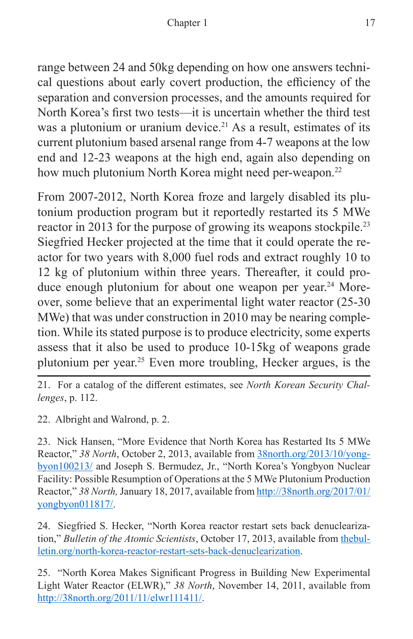range between 24 and 50kg depending on how one answers technical questions about early covert production, the efficiency of the separation and conversion processes, and the amounts required for North Korea's first two tests—it is uncertain whether the third test was a plutonium or uranium device.<sup>21</sup> As a result, estimates of its current plutonium based arsenal range from 4-7 weapons at the low end and 12-23 weapons at the high end, again also depending on how much plutonium North Korea might need per-weapon.<sup>22</sup>

From 2007-2012, North Korea froze and largely disabled its plutonium production program but it reportedly restarted its 5 MWe reactor in 2013 for the purpose of growing its weapons stockpile.<sup>23</sup> Siegfried Hecker projected at the time that it could operate the reactor for two years with 8,000 fuel rods and extract roughly 10 to 12 kg of plutonium within three years. Thereafter, it could produce enough plutonium for about one weapon per year.<sup>24</sup> Moreover, some believe that an experimental light water reactor (25-30 MWe) that was under construction in 2010 may be nearing completion. While its stated purpose is to produce electricity, some experts assess that it also be used to produce 10-15kg of weapons grade plutonium per year.25 Even more troubling, Hecker argues, is the

21. For a catalog of the different estimates, see *North Korean Security Challenges*, p. 112.

22. Albright and Walrond, p. 2.

23. Nick Hansen, "More Evidence that North Korea has Restarted Its 5 MWe Reactor," *38 North*, October 2, 2013, available from [38north.org/2013/10/yong](http://38north.org/2013/10/yongbyon100213/)[byon100213/](http://38north.org/2013/10/yongbyon100213/) and Joseph S. Bermudez, Jr., "North Korea's Yongbyon Nuclear Facility: Possible Resumption of Operations at the 5 MWe Plutonium Production Reactor," *38 North,* January 18, 2017, available from [http://38north.org/2017/01/](http://38north.org/2017/01/yongbyon011817/) [yongbyon011817/](http://38north.org/2017/01/yongbyon011817/).

24. Siegfried S. Hecker, "North Korea reactor restart sets back denuclearization," *Bulletin of the Atomic Scientists*, October 17, 2013, available from [thebul](thebulletin.org/north-korea-reactor-restart-sets-back-denuclearization)[letin.org/north-korea-reactor-restart-sets-back-denuclearization.](thebulletin.org/north-korea-reactor-restart-sets-back-denuclearization)

25. "North Korea Makes Significant Progress in Building New Experimental Light Water Reactor (ELWR)," *38 North*, November 14, 2011, available from [http://38north.org/2011/11/elwr111411/.](http://38north.org/2011/11/elwr111411/)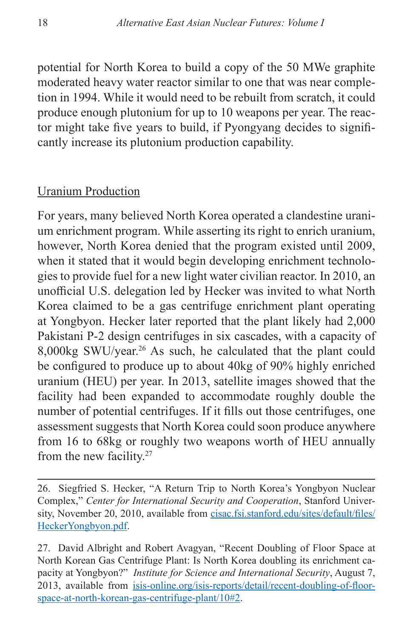potential for North Korea to build a copy of the 50 MWe graphite moderated heavy water reactor similar to one that was near completion in 1994. While it would need to be rebuilt from scratch, it could produce enough plutonium for up to 10 weapons per year. The reactor might take five years to build, if Pyongyang decides to significantly increase its plutonium production capability.

#### Uranium Production

For years, many believed North Korea operated a clandestine uranium enrichment program. While asserting its right to enrich uranium, however, North Korea denied that the program existed until 2009, when it stated that it would begin developing enrichment technologies to provide fuel for a new light water civilian reactor. In 2010, an unofficial U.S. delegation led by Hecker was invited to what North Korea claimed to be a gas centrifuge enrichment plant operating at Yongbyon. Hecker later reported that the plant likely had 2,000 Pakistani P-2 design centrifuges in six cascades, with a capacity of 8,000kg SWU/year.26 As such, he calculated that the plant could be configured to produce up to about 40kg of 90% highly enriched uranium (HEU) per year. In 2013, satellite images showed that the facility had been expanded to accommodate roughly double the number of potential centrifuges. If it fills out those centrifuges, one assessment suggests that North Korea could soon produce anywhere from 16 to 68kg or roughly two weapons worth of HEU annually from the new facility.<sup>27</sup>

<sup>26.</sup> Siegfried S. Hecker, "A Return Trip to North Korea's Yongbyon Nuclear Complex," *Center for International Security and Cooperation*, Stanford University, November 20, 2010, available from [cisac.fsi.stanford.edu/sites/default/files/](cisac.fsi.stanford.edu/sites/default/files/HeckerYongbyon.pdf) [HeckerYongbyon.pdf.](cisac.fsi.stanford.edu/sites/default/files/HeckerYongbyon.pdf)

<sup>27.</sup> David Albright and Robert Avagyan, "Recent Doubling of Floor Space at North Korean Gas Centrifuge Plant: Is North Korea doubling its enrichment capacity at Yongbyon?" *Institute for Science and International Security*, August 7, 2013, available from [isis-online.org/isis-reports/detail/recent-doubling-of-floor](http://isis-online.org/isis-reports/detail/recent-doubling-of-floor-space-at-north-korean-gas-centrifuge-plant/10#2)[space-at-north-korean-gas-centrifuge-plant/10#2](http://isis-online.org/isis-reports/detail/recent-doubling-of-floor-space-at-north-korean-gas-centrifuge-plant/10#2).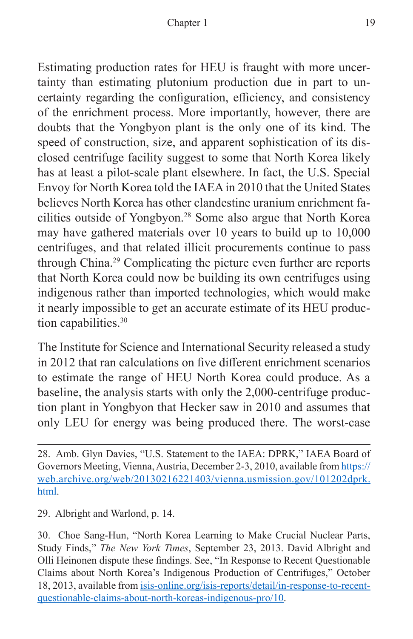Estimating production rates for HEU is fraught with more uncertainty than estimating plutonium production due in part to uncertainty regarding the configuration, efficiency, and consistency of the enrichment process. More importantly, however, there are doubts that the Yongbyon plant is the only one of its kind. The speed of construction, size, and apparent sophistication of its disclosed centrifuge facility suggest to some that North Korea likely has at least a pilot-scale plant elsewhere. In fact, the U.S. Special Envoy for North Korea told the IAEA in 2010 that the United States believes North Korea has other clandestine uranium enrichment facilities outside of Yongbyon.28 Some also argue that North Korea may have gathered materials over 10 years to build up to 10,000 centrifuges, and that related illicit procurements continue to pass through China.29 Complicating the picture even further are reports that North Korea could now be building its own centrifuges using indigenous rather than imported technologies, which would make it nearly impossible to get an accurate estimate of its HEU production capabilities.<sup>30</sup>

The Institute for Science and International Security released a study in 2012 that ran calculations on five different enrichment scenarios to estimate the range of HEU North Korea could produce. As a baseline, the analysis starts with only the 2,000-centrifuge production plant in Yongbyon that Hecker saw in 2010 and assumes that only LEU for energy was being produced there. The worst-case

29. Albright and Warlond, p. 14.

<sup>28.</sup> Amb. Glyn Davies, "U.S. Statement to the IAEA: DPRK," IAEA Board of Governors Meeting, Vienna, Austria, December 2-3, 2010, available from [https://](https://web.archive.org/web/20130216221403/vienna.usmission.gov/101202dprk.html) [web.archive.org/web/20130216221403/vienna.usmission.gov/101202dprk.](https://web.archive.org/web/20130216221403/vienna.usmission.gov/101202dprk.html) [html](https://web.archive.org/web/20130216221403/vienna.usmission.gov/101202dprk.html).

<sup>30.</sup> Choe Sang-Hun, "North Korea Learning to Make Crucial Nuclear Parts, Study Finds," *The New York Times*, September 23, 2013. David Albright and Olli Heinonen dispute these findings. See, "In Response to Recent Questionable Claims about North Korea's Indigenous Production of Centrifuges," October 18, 2013, available from [isis-online.org/isis-reports/detail/in-response-to-recent](http://isis-online.org/isis-reports/detail/in-response-to-recent-questionable-claims-about-north-koreas-indigenous-pro/10)[questionable-claims-about-north-koreas-indigenous-pro/10](http://isis-online.org/isis-reports/detail/in-response-to-recent-questionable-claims-about-north-koreas-indigenous-pro/10).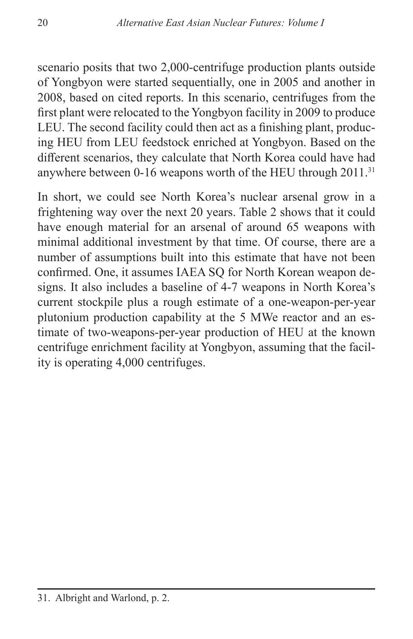scenario posits that two 2,000-centrifuge production plants outside of Yongbyon were started sequentially, one in 2005 and another in 2008, based on cited reports. In this scenario, centrifuges from the first plant were relocated to the Yongbyon facility in 2009 to produce LEU. The second facility could then act as a finishing plant, producing HEU from LEU feedstock enriched at Yongbyon. Based on the different scenarios, they calculate that North Korea could have had anywhere between 0-16 weapons worth of the HEU through 2011.<sup>31</sup>

In short, we could see North Korea's nuclear arsenal grow in a frightening way over the next 20 years. Table 2 shows that it could have enough material for an arsenal of around 65 weapons with minimal additional investment by that time. Of course, there are a number of assumptions built into this estimate that have not been confirmed. One, it assumes IAEA SQ for North Korean weapon designs. It also includes a baseline of 4-7 weapons in North Korea's current stockpile plus a rough estimate of a one-weapon-per-year plutonium production capability at the 5 MWe reactor and an estimate of two-weapons-per-year production of HEU at the known centrifuge enrichment facility at Yongbyon, assuming that the facility is operating 4,000 centrifuges.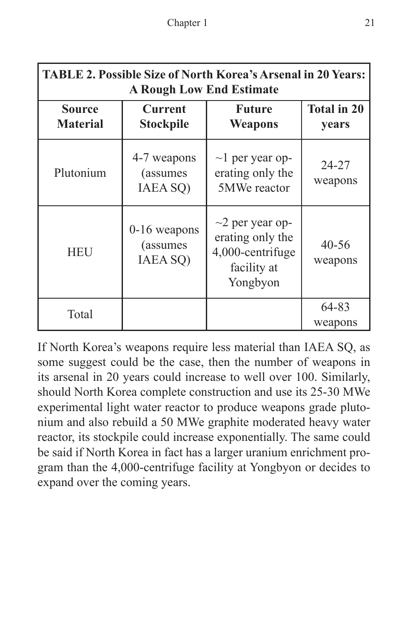| <b>TABLE 2. Possible Size of North Korea's Arsenal in 20 Years:</b><br><b>A Rough Low End Estimate</b> |                                         |                                                                                          |                             |
|--------------------------------------------------------------------------------------------------------|-----------------------------------------|------------------------------------------------------------------------------------------|-----------------------------|
| <b>Source</b><br><b>Material</b>                                                                       | <b>Current</b><br><b>Stockpile</b>      | <b>Future</b><br><b>Weapons</b>                                                          | <b>Total in 20</b><br>years |
| Plutonium                                                                                              | 4-7 weapons<br>(assumes)<br>IAEA SQ)    | $\sim$ l per year op-<br>erating only the<br>5MWe reactor                                | $24 - 27$<br>weapons        |
| <b>HEU</b>                                                                                             | $0-16$ weapons<br>(assumes)<br>IAEA SQ) | $\sim$ 2 per year op-<br>erating only the<br>4,000-centrifuge<br>facility at<br>Yongbyon | $40 - 56$<br>weapons        |
| Total                                                                                                  |                                         |                                                                                          | 64-83<br>weapons            |

If North Korea's weapons require less material than IAEA SQ, as some suggest could be the case, then the number of weapons in its arsenal in 20 years could increase to well over 100. Similarly, should North Korea complete construction and use its 25-30 MWe experimental light water reactor to produce weapons grade plutonium and also rebuild a 50 MWe graphite moderated heavy water reactor, its stockpile could increase exponentially. The same could be said if North Korea in fact has a larger uranium enrichment program than the 4,000-centrifuge facility at Yongbyon or decides to expand over the coming years.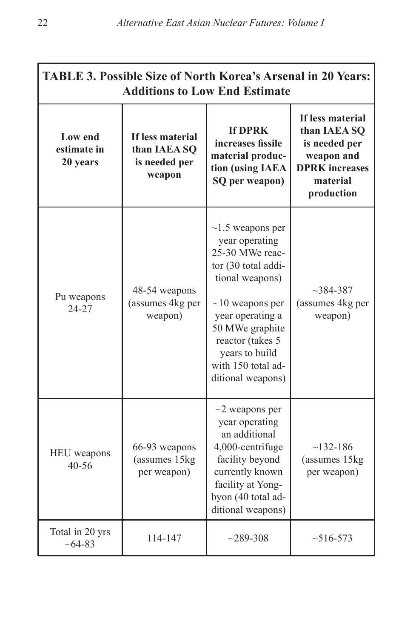| <b>TABLE 3. Possible Size of North Korea's Arsenal in 20 Years:</b><br><b>Additions to Low End Estimate</b> |                                                             |                                                                                                                                                                                                                                                        |                                                                                                                    |
|-------------------------------------------------------------------------------------------------------------|-------------------------------------------------------------|--------------------------------------------------------------------------------------------------------------------------------------------------------------------------------------------------------------------------------------------------------|--------------------------------------------------------------------------------------------------------------------|
| Low end<br>estimate in<br>20 years                                                                          | If less material<br>than IAEA SO<br>is needed per<br>weapon | <b>If DPRK</b><br>increases fissile<br>material produc-<br>tion (using IAEA<br>SQ per weapon)                                                                                                                                                          | If less material<br>than IAEA SQ<br>is needed per<br>weapon and<br><b>DPRK</b> increases<br>material<br>production |
| Pu weapons<br>24-27                                                                                         | 48-54 weapons<br>(assumes 4kg per<br>weapon)                | $\sim$ 1.5 weapons per<br>year operating<br>25-30 MWe reac-<br>tor (30 total addi-<br>tional weapons)<br>$\sim$ 10 weapons per<br>year operating a<br>50 MWe graphite<br>reactor (takes 5<br>years to build<br>with 150 total ad-<br>ditional weapons) | $~2384 - 387$<br>(assumes 4kg per<br>weapon)                                                                       |
| HEU weapons<br>$40 - 56$                                                                                    | 66-93 weapons<br>(assumes 15kg)<br>per weapon)              | $\sim$ 2 weapons per<br>year operating<br>an additional<br>4,000-centrifuge<br>facility beyond<br>currently known<br>facility at Yong-<br>byon (40 total ad-<br>ditional weapons)                                                                      | $~132-186$<br>(assumes 15kg<br>per weapon)                                                                         |
| Total in 20 yrs<br>$~10-64-83$                                                                              | 114-147                                                     | $~289 - 308$                                                                                                                                                                                                                                           | $~16-573$                                                                                                          |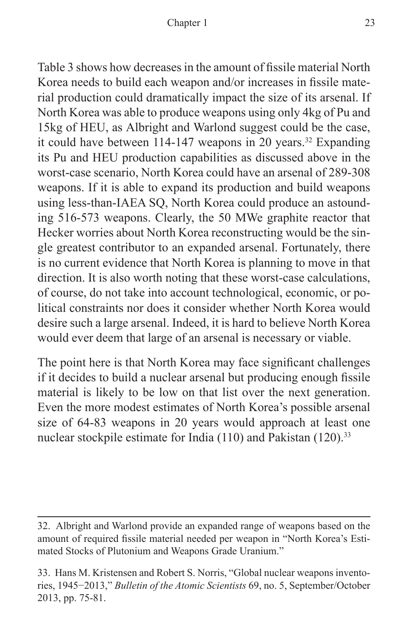Table 3 shows how decreases in the amount of fissile material North Korea needs to build each weapon and/or increases in fissile material production could dramatically impact the size of its arsenal. If North Korea was able to produce weapons using only 4kg of Pu and 15kg of HEU, as Albright and Warlond suggest could be the case, it could have between 114-147 weapons in 20 years.<sup>32</sup> Expanding its Pu and HEU production capabilities as discussed above in the worst-case scenario, North Korea could have an arsenal of 289-308 weapons. If it is able to expand its production and build weapons using less-than-IAEA SQ, North Korea could produce an astounding 516-573 weapons. Clearly, the 50 MWe graphite reactor that Hecker worries about North Korea reconstructing would be the single greatest contributor to an expanded arsenal. Fortunately, there is no current evidence that North Korea is planning to move in that direction. It is also worth noting that these worst-case calculations, of course, do not take into account technological, economic, or political constraints nor does it consider whether North Korea would desire such a large arsenal. Indeed, it is hard to believe North Korea would ever deem that large of an arsenal is necessary or viable.

The point here is that North Korea may face significant challenges if it decides to build a nuclear arsenal but producing enough fissile material is likely to be low on that list over the next generation. Even the more modest estimates of North Korea's possible arsenal size of 64-83 weapons in 20 years would approach at least one nuclear stockpile estimate for India (110) and Pakistan (120).<sup>33</sup>

<sup>32.</sup> Albright and Warlond provide an expanded range of weapons based on the amount of required fissile material needed per weapon in "North Korea's Estimated Stocks of Plutonium and Weapons Grade Uranium."

<sup>33.</sup> Hans M. Kristensen and Robert S. Norris, "Global nuclear weapons inventories, 1945−2013," *Bulletin of the Atomic Scientists* 69, no. 5, September/October 2013, pp. 75-81.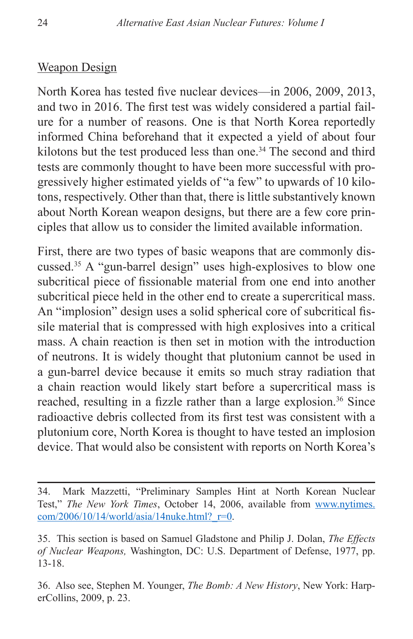#### Weapon Design

North Korea has tested five nuclear devices—in 2006, 2009, 2013, and two in 2016. The first test was widely considered a partial failure for a number of reasons. One is that North Korea reportedly informed China beforehand that it expected a yield of about four kilotons but the test produced less than one.<sup>34</sup> The second and third tests are commonly thought to have been more successful with progressively higher estimated yields of "a few" to upwards of 10 kilotons, respectively. Other than that, there is little substantively known about North Korean weapon designs, but there are a few core principles that allow us to consider the limited available information.

First, there are two types of basic weapons that are commonly discussed.35 A "gun-barrel design" uses high-explosives to blow one subcritical piece of fissionable material from one end into another subcritical piece held in the other end to create a supercritical mass. An "implosion" design uses a solid spherical core of subcritical fissile material that is compressed with high explosives into a critical mass. A chain reaction is then set in motion with the introduction of neutrons. It is widely thought that plutonium cannot be used in a gun-barrel device because it emits so much stray radiation that a chain reaction would likely start before a supercritical mass is reached, resulting in a fizzle rather than a large explosion.<sup>36</sup> Since radioactive debris collected from its first test was consistent with a plutonium core, North Korea is thought to have tested an implosion device. That would also be consistent with reports on North Korea's

<sup>34.</sup> Mark Mazzetti, "Preliminary Samples Hint at North Korean Nuclear Test," *The New York Times*, October 14, 2006, available from [www.nytimes.](www.nytimes.com/2006/10/14/world/asia/14nuke.html?_r=0) com/2006/10/14/world/asia/14nuke.html? $r=0$ .

<sup>35.</sup> This section is based on Samuel Gladstone and Philip J. Dolan, *The Effects of Nuclear Weapons,* Washington, DC: U.S. Department of Defense, 1977, pp. 13-18.

<sup>36.</sup> Also see, Stephen M. Younger, *The Bomb: A New History*, New York: HarperCollins, 2009, p. 23.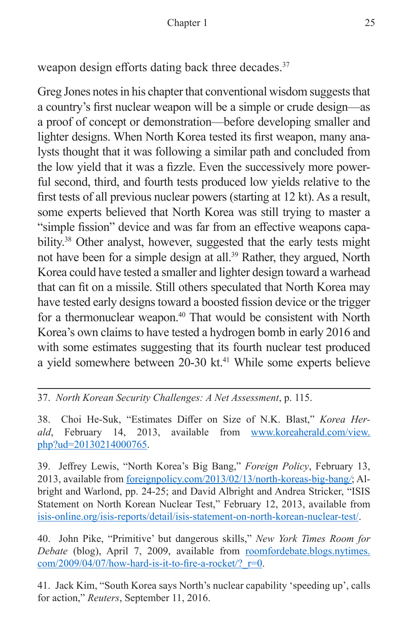weapon design efforts dating back three decades.<sup>37</sup>

Greg Jones notes in his chapter that conventional wisdom suggests that a country's first nuclear weapon will be a simple or crude design—as a proof of concept or demonstration—before developing smaller and lighter designs. When North Korea tested its first weapon, many analysts thought that it was following a similar path and concluded from the low yield that it was a fizzle. Even the successively more powerful second, third, and fourth tests produced low yields relative to the first tests of all previous nuclear powers (starting at 12 kt). As a result, some experts believed that North Korea was still trying to master a "simple fission" device and was far from an effective weapons capability.38 Other analyst, however, suggested that the early tests might not have been for a simple design at all.<sup>39</sup> Rather, they argued, North Korea could have tested a smaller and lighter design toward a warhead that can fit on a missile. Still others speculated that North Korea may have tested early designs toward a boosted fission device or the trigger for a thermonuclear weapon.<sup>40</sup> That would be consistent with North Korea's own claims to have tested a hydrogen bomb in early 2016 and with some estimates suggesting that its fourth nuclear test produced a yield somewhere between 20-30 kt.<sup>41</sup> While some experts believe

37. *North Korean Security Challenges: A Net Assessment*, p. 115.

38. Choi He-Suk, "Estimates Differ on Size of N.K. Blast," *Korea Herald*, February 14, 2013, available from [www.koreaherald.com/view.](www.koreaherald.com/view.php?ud=20130214000765) [php?ud=20130214000765](www.koreaherald.com/view.php?ud=20130214000765).

39. Jeffrey Lewis, "North Korea's Big Bang," *Foreign Policy*, February 13, 2013, available from [foreignpolicy.com/2013/02/13/north-koreas-big-bang](http://foreignpolicy.com/2013/02/13/north-koreas-big-bang/)*/*; Albright and Warlond, pp. 24-25; and David Albright and Andrea Stricker, "ISIS Statement on North Korean Nuclear Test," February 12, 2013, available from [isis-online.org/isis-reports/detail/isis-statement-on-north-korean-nuclear-test/](http://isis-online.org/isis-reports/detail/isis-statement-on-north-korean-nuclear-test/).

40. John Pike, "Primitive' but dangerous skills," *New York Times Room for Debate* (blog), April 7, 2009, available from [roomfordebate.blogs.nytimes.](roomfordebate.blogs.nytimes.com/2009/04/07/how-hard-is-it-to-fire-a-rocket/?_r=0)  $com/2009/04/07/how-hard-is-it-to-free-a-rootet$ ?  $r=0$ .

41. Jack Kim, "South Korea says North's nuclear capability 'speeding up', calls for action," *Reuters*, September 11, 2016.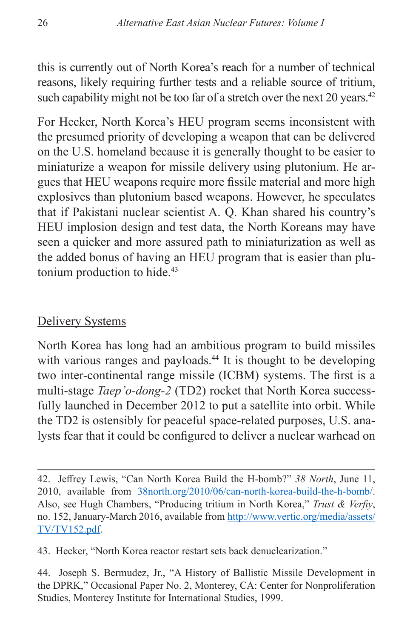this is currently out of North Korea's reach for a number of technical reasons, likely requiring further tests and a reliable source of tritium, such capability might not be too far of a stretch over the next  $20$  years.<sup>42</sup>

For Hecker, North Korea's HEU program seems inconsistent with the presumed priority of developing a weapon that can be delivered on the U.S. homeland because it is generally thought to be easier to miniaturize a weapon for missile delivery using plutonium. He argues that HEU weapons require more fissile material and more high explosives than plutonium based weapons. However, he speculates that if Pakistani nuclear scientist A. Q. Khan shared his country's HEU implosion design and test data, the North Koreans may have seen a quicker and more assured path to miniaturization as well as the added bonus of having an HEU program that is easier than plutonium production to hide.<sup>43</sup>

# Delivery Systems

North Korea has long had an ambitious program to build missiles with various ranges and payloads.<sup>44</sup> It is thought to be developing two inter-continental range missile (ICBM) systems. The first is a multi-stage *Taep'o-dong-2* (TD2) rocket that North Korea successfully launched in December 2012 to put a satellite into orbit. While the TD2 is ostensibly for peaceful space-related purposes, U.S. analysts fear that it could be configured to deliver a nuclear warhead on

43. Hecker, "North Korea reactor restart sets back denuclearization."

<sup>42.</sup> Jeffrey Lewis, "Can North Korea Build the H-bomb?" *38 North*, June 11, 2010, available from [38north.org/2010/06/can-north-korea-build-the-h-bomb/.](38north.org/2010/06/can-north-korea-build-the-h-bomb/) Also, see Hugh Chambers, "Producing tritium in North Korea," *Trust & Verfiy*, no. 152, January-March 2016, available from [http://www.vertic.org/media/assets/](http://www.vertic.org/media/assets/TV/TV152.pdf) [TV/TV152.pdf](http://www.vertic.org/media/assets/TV/TV152.pdf).

<sup>44.</sup> Joseph S. Bermudez, Jr., "A History of Ballistic Missile Development in the DPRK," Occasional Paper No. 2, Monterey, CA: Center for Nonproliferation Studies, Monterey Institute for International Studies, 1999.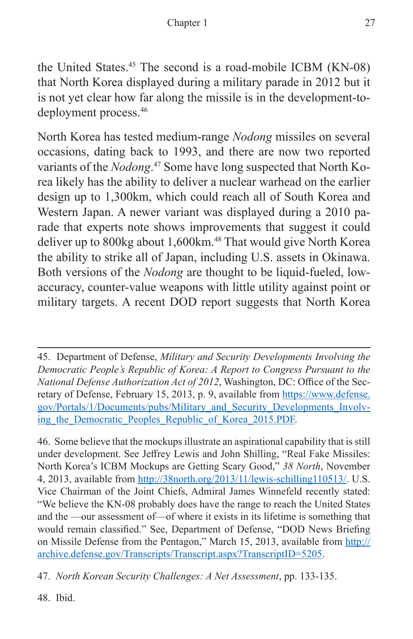the United States.45 The second is a road-mobile ICBM (KN-08) that North Korea displayed during a military parade in 2012 but it is not yet clear how far along the missile is in the development-todeployment process.46

North Korea has tested medium-range *Nodong* missiles on several occasions, dating back to 1993, and there are now two reported variants of the *Nodong*. 47 Some have long suspected that North Korea likely has the ability to deliver a nuclear warhead on the earlier design up to 1,300km, which could reach all of South Korea and Western Japan. A newer variant was displayed during a 2010 parade that experts note shows improvements that suggest it could deliver up to 800kg about 1,600km.<sup>48</sup> That would give North Korea the ability to strike all of Japan, including U.S. assets in Okinawa. Both versions of the *Nodong* are thought to be liquid-fueled, lowaccuracy, counter-value weapons with little utility against point or military targets. A recent DOD report suggests that North Korea

46. Some believe that the mockups illustrate an aspirational capability that is still under development. See Jeffrey Lewis and John Shilling, "Real Fake Missiles: North Korea's ICBM Mockups are Getting Scary Good," *38 North*, November 4, 2013, available from<http://38north.org/2013/11/lewis-schilling110513/>. U.S. Vice Chairman of the Joint Chiefs, Admiral James Winnefeld recently stated: "We believe the KN-08 probably does have the range to reach the United States and the —our assessment of—of where it exists in its lifetime is something that would remain classified." See, Department of Defense, "DOD News Briefing on Missile Defense from the Pentagon," March 15, 2013, available from [http://](http://archive.defense.gov/Transcripts/Transcript.aspx?TranscriptID=5205) [archive.defense.gov/Transcripts/Transcript.aspx?TranscriptID=5205](http://archive.defense.gov/Transcripts/Transcript.aspx?TranscriptID=5205).

47. *North Korean Security Challenges: A Net Assessment*, pp. 133-135.

48. Ibid.

<sup>45.</sup> Department of Defense, *Military and Security Developments Involving the Democratic People's Republic of Korea: A Report to Congress Pursuant to the National Defense Authorization Act of 2012*, Washington, DC: Office of the Secretary of Defense, February 15, 2013, p. 9, available from [https://www.defense.](https://www.defense.gov/Portals/1/Documents/pubs/Military_and_Security_Developments_Involving_the_Democratic_Peoples_Republic_of_Korea_2015.PDF) [gov/Portals/1/Documents/pubs/Military\\_and\\_Security\\_Developments\\_Involv](https://www.defense.gov/Portals/1/Documents/pubs/Military_and_Security_Developments_Involving_the_Democratic_Peoples_Republic_of_Korea_2015.PDF)ing the Democratic Peoples Republic of Korea 2015.PDF.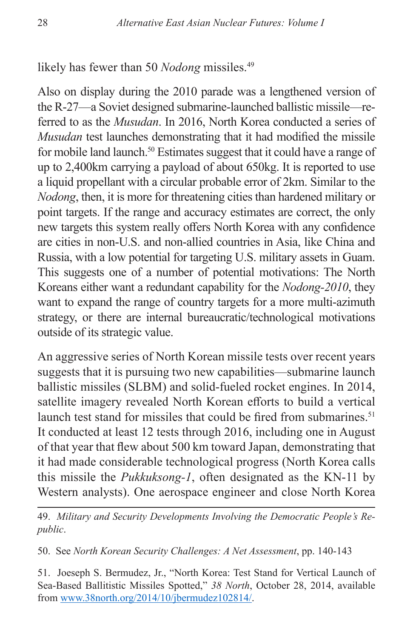likely has fewer than 50 *Nodong* missiles.<sup>49</sup>

Also on display during the 2010 parade was a lengthened version of the R-27—a Soviet designed submarine-launched ballistic missile—referred to as the *Musudan*. In 2016, North Korea conducted a series of *Musudan* test launches demonstrating that it had modified the missile for mobile land launch.50 Estimates suggest that it could have a range of up to 2,400km carrying a payload of about 650kg. It is reported to use a liquid propellant with a circular probable error of 2km. Similar to the *Nodong*, then, it is more for threatening cities than hardened military or point targets. If the range and accuracy estimates are correct, the only new targets this system really offers North Korea with any confidence are cities in non-U.S. and non-allied countries in Asia, like China and Russia, with a low potential for targeting U.S. military assets in Guam. This suggests one of a number of potential motivations: The North Koreans either want a redundant capability for the *Nodong-2010*, they want to expand the range of country targets for a more multi-azimuth strategy, or there are internal bureaucratic/technological motivations outside of its strategic value.

An aggressive series of North Korean missile tests over recent years suggests that it is pursuing two new capabilities—submarine launch ballistic missiles (SLBM) and solid-fueled rocket engines. In 2014, satellite imagery revealed North Korean efforts to build a vertical launch test stand for missiles that could be fired from submarines.<sup>51</sup> It conducted at least 12 tests through 2016, including one in August of that year that flew about 500 km toward Japan, demonstrating that it had made considerable technological progress (North Korea calls this missile the *Pukkuksong-1*, often designated as the KN-11 by Western analysts). One aerospace engineer and close North Korea

49. *Military and Security Developments Involving the Democratic People's Republic*.

50. See *North Korean Security Challenges: A Net Assessment*, pp. 140-143

51. Joeseph S. Bermudez, Jr., "North Korea: Test Stand for Vertical Launch of Sea-Based Ballitistic Missiles Spotted," *38 North*, October 28, 2014, available from [www.38north.org/2014/10/jbermudez102814/.](www.38north.org/2014/10/jbermudez102814/)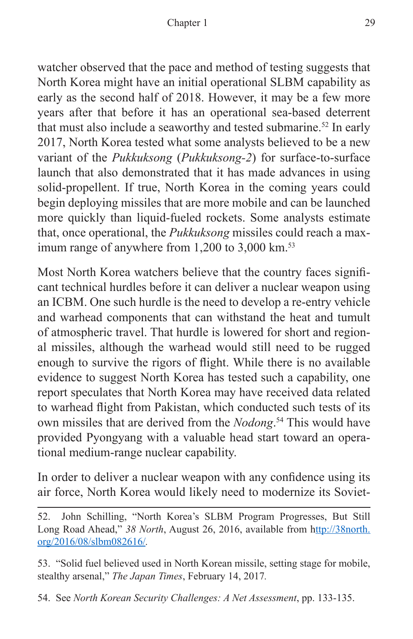watcher observed that the pace and method of testing suggests that North Korea might have an initial operational SLBM capability as early as the second half of 2018. However, it may be a few more years after that before it has an operational sea-based deterrent that must also include a seaworthy and tested submarine.<sup>52</sup> In early 2017, North Korea tested what some analysts believed to be a new variant of the *Pukkuksong* (*Pukkuksong-2*) for surface-to-surface launch that also demonstrated that it has made advances in using solid-propellent. If true, North Korea in the coming years could begin deploying missiles that are more mobile and can be launched more quickly than liquid-fueled rockets. Some analysts estimate that, once operational, the *Pukkuksong* missiles could reach a maximum range of anywhere from  $1,200$  to  $3,000$  km.<sup>53</sup>

Most North Korea watchers believe that the country faces significant technical hurdles before it can deliver a nuclear weapon using an ICBM. One such hurdle is the need to develop a re-entry vehicle and warhead components that can withstand the heat and tumult of atmospheric travel. That hurdle is lowered for short and regional missiles, although the warhead would still need to be rugged enough to survive the rigors of flight. While there is no available evidence to suggest North Korea has tested such a capability, one report speculates that North Korea may have received data related to warhead flight from Pakistan, which conducted such tests of its own missiles that are derived from the *Nodong*. 54 This would have provided Pyongyang with a valuable head start toward an operational medium-range nuclear capability.

In order to deliver a nuclear weapon with any confidence using its air force, North Korea would likely need to modernize its Soviet-

53. "Solid fuel believed used in North Korean missile, setting stage for mobile, stealthy arsenal," *The Japan Times*, February 14, 2017*.*

54. See *North Korean Security Challenges: A Net Assessment*, pp. 133-135.

<sup>52.</sup> John Schilling, "North Korea's SLBM Program Progresses, But Still Long Road Ahead," *38 North*, August 26, 2016, available from h[ttp://38north.](http://38north.org/2016/08/slbm082616/) [org/2016/08/slbm082616/](http://38north.org/2016/08/slbm082616/)*.*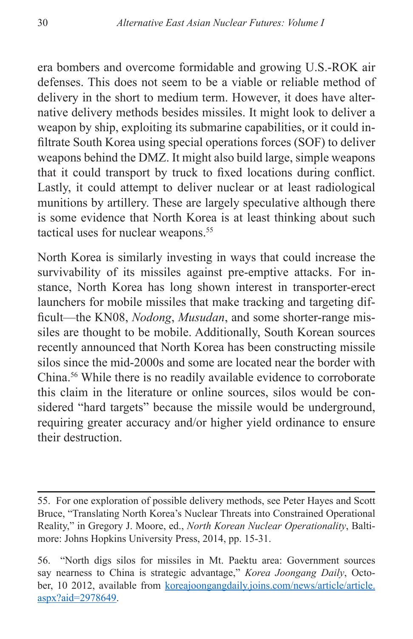era bombers and overcome formidable and growing U.S.-ROK air defenses. This does not seem to be a viable or reliable method of delivery in the short to medium term. However, it does have alternative delivery methods besides missiles. It might look to deliver a weapon by ship, exploiting its submarine capabilities, or it could infiltrate South Korea using special operations forces (SOF) to deliver weapons behind the DMZ. It might also build large, simple weapons that it could transport by truck to fixed locations during conflict. Lastly, it could attempt to deliver nuclear or at least radiological munitions by artillery. These are largely speculative although there is some evidence that North Korea is at least thinking about such tactical uses for nuclear weapons.<sup>55</sup>

North Korea is similarly investing in ways that could increase the survivability of its missiles against pre-emptive attacks. For instance, North Korea has long shown interest in transporter-erect launchers for mobile missiles that make tracking and targeting difficult—the KN08, *Nodong*, *Musudan*, and some shorter-range missiles are thought to be mobile. Additionally, South Korean sources recently announced that North Korea has been constructing missile silos since the mid-2000s and some are located near the border with China.56 While there is no readily available evidence to corroborate this claim in the literature or online sources, silos would be considered "hard targets" because the missile would be underground, requiring greater accuracy and/or higher yield ordinance to ensure their destruction.

<sup>55.</sup> For one exploration of possible delivery methods, see Peter Hayes and Scott Bruce, "Translating North Korea's Nuclear Threats into Constrained Operational Reality," in Gregory J. Moore, ed., *North Korean Nuclear Operationality*, Baltimore: Johns Hopkins University Press, 2014, pp. 15-31.

<sup>56. &</sup>quot;North digs silos for missiles in Mt. Paektu area: Government sources say nearness to China is strategic advantage," *Korea Joongang Daily*, October, 10 2012, available from [koreajoongangdaily.joins.com/news/article/article.](koreajoongangdaily.joins.com/news/article/article.aspx?aid=2978649) [aspx?aid=2978649.](koreajoongangdaily.joins.com/news/article/article.aspx?aid=2978649)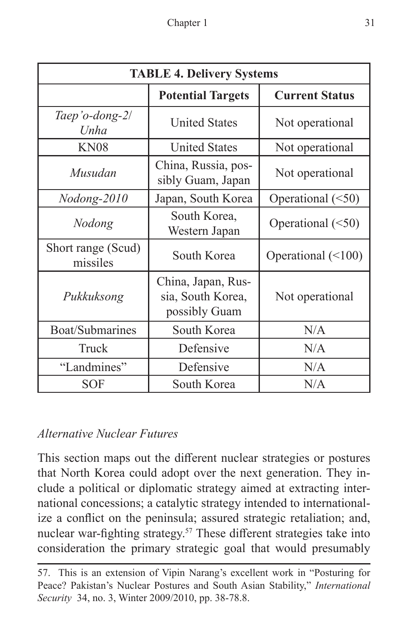| <b>TABLE 4. Delivery Systems</b> |                                                          |                          |
|----------------------------------|----------------------------------------------------------|--------------------------|
|                                  | <b>Potential Targets</b>                                 | <b>Current Status</b>    |
| Taep'o-dong-2/<br>Unha           | <b>United States</b>                                     | Not operational          |
| <b>KN08</b>                      | <b>United States</b>                                     | Not operational          |
| Musudan                          | China, Russia, pos-<br>sibly Guam, Japan                 | Not operational          |
| Nodong-2010                      | Japan, South Korea                                       | Operational $(\leq 50)$  |
| Nodong                           | South Korea,<br>Western Japan                            | Operational $(\leq 50)$  |
| Short range (Scud)<br>missiles   | South Korea                                              | Operational $(\leq 100)$ |
| Pukkuksong                       | China, Japan, Rus-<br>sia, South Korea,<br>possibly Guam | Not operational          |
| Boat/Submarines                  | South Korea                                              | N/A                      |
| Truck                            | Defensive                                                | N/A                      |
| "Landmines"                      | Defensive                                                | N/A                      |
| <b>SOF</b>                       | South Korea                                              | N/A                      |

# *Alternative Nuclear Futures*

This section maps out the different nuclear strategies or postures that North Korea could adopt over the next generation. They include a political or diplomatic strategy aimed at extracting international concessions; a catalytic strategy intended to internationalize a conflict on the peninsula; assured strategic retaliation; and, nuclear war-fighting strategy.<sup>57</sup> These different strategies take into consideration the primary strategic goal that would presumably

<sup>57.</sup> This is an extension of Vipin Narang's excellent work in "Posturing for Peace? Pakistan's Nuclear Postures and South Asian Stability," *International Security* 34, no. 3, Winter 2009/2010, pp. 38-78.8.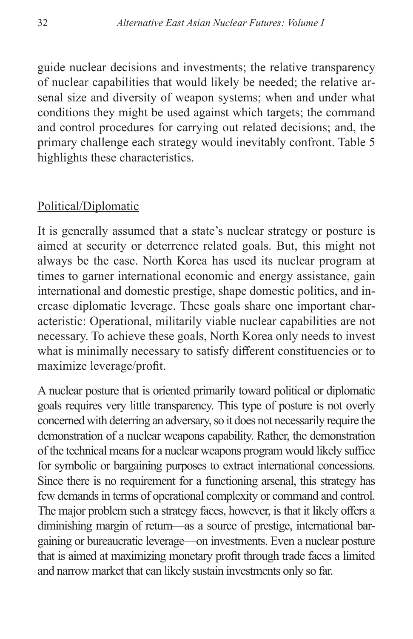guide nuclear decisions and investments; the relative transparency of nuclear capabilities that would likely be needed; the relative arsenal size and diversity of weapon systems; when and under what conditions they might be used against which targets; the command and control procedures for carrying out related decisions; and, the primary challenge each strategy would inevitably confront. Table 5 highlights these characteristics.

#### Political/Diplomatic

It is generally assumed that a state's nuclear strategy or posture is aimed at security or deterrence related goals. But, this might not always be the case. North Korea has used its nuclear program at times to garner international economic and energy assistance, gain international and domestic prestige, shape domestic politics, and increase diplomatic leverage. These goals share one important characteristic: Operational, militarily viable nuclear capabilities are not necessary. To achieve these goals, North Korea only needs to invest what is minimally necessary to satisfy different constituencies or to maximize leverage/profit.

A nuclear posture that is oriented primarily toward political or diplomatic goals requires very little transparency. This type of posture is not overly concerned with deterring an adversary, so it does not necessarily require the demonstration of a nuclear weapons capability. Rather, the demonstration of the technical means for a nuclear weapons program would likely suffice for symbolic or bargaining purposes to extract international concessions. Since there is no requirement for a functioning arsenal, this strategy has few demands in terms of operational complexity or command and control. The major problem such a strategy faces, however, is that it likely offers a diminishing margin of return—as a source of prestige, international bargaining or bureaucratic leverage—on investments. Even a nuclear posture that is aimed at maximizing monetary profit through trade faces a limited and narrow market that can likely sustain investments only so far.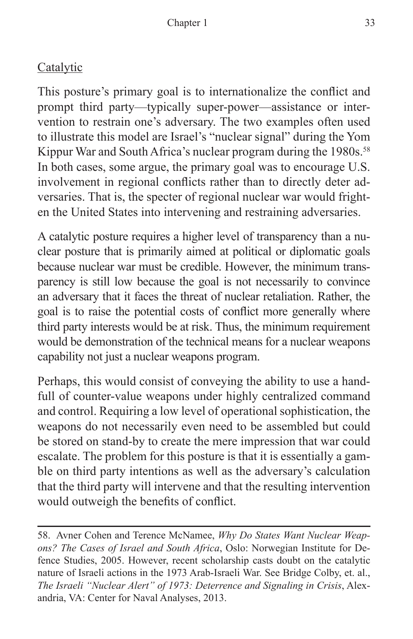# **Catalytic**

This posture's primary goal is to internationalize the conflict and prompt third party—typically super-power—assistance or intervention to restrain one's adversary. The two examples often used to illustrate this model are Israel's "nuclear signal" during the Yom Kippur War and South Africa's nuclear program during the 1980s.<sup>58</sup> In both cases, some argue, the primary goal was to encourage U.S. involvement in regional conflicts rather than to directly deter adversaries. That is, the specter of regional nuclear war would frighten the United States into intervening and restraining adversaries.

A catalytic posture requires a higher level of transparency than a nuclear posture that is primarily aimed at political or diplomatic goals because nuclear war must be credible. However, the minimum transparency is still low because the goal is not necessarily to convince an adversary that it faces the threat of nuclear retaliation. Rather, the goal is to raise the potential costs of conflict more generally where third party interests would be at risk. Thus, the minimum requirement would be demonstration of the technical means for a nuclear weapons capability not just a nuclear weapons program.

Perhaps, this would consist of conveying the ability to use a handfull of counter-value weapons under highly centralized command and control. Requiring a low level of operational sophistication, the weapons do not necessarily even need to be assembled but could be stored on stand-by to create the mere impression that war could escalate. The problem for this posture is that it is essentially a gamble on third party intentions as well as the adversary's calculation that the third party will intervene and that the resulting intervention would outweigh the benefits of conflict.

58. Avner Cohen and Terence McNamee, *Why Do States Want Nuclear Weapons? The Cases of Israel and South Africa*, Oslo: Norwegian Institute for Defence Studies, 2005. However, recent scholarship casts doubt on the catalytic nature of Israeli actions in the 1973 Arab-Israeli War. See Bridge Colby, et. al., *The Israeli "Nuclear Alert" of 1973: Deterrence and Signaling in Crisis*, Alexandria, VA: Center for Naval Analyses, 2013.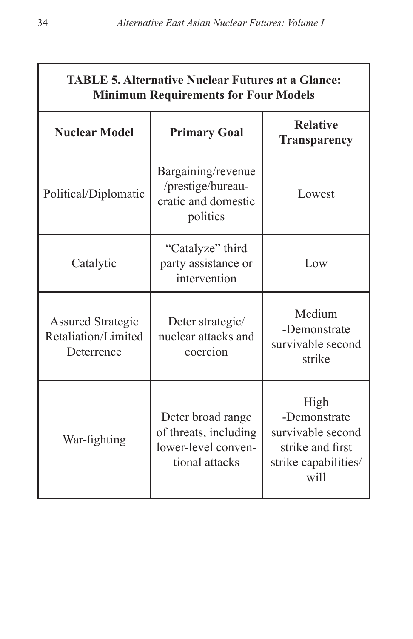| <b>TABLE 5. Alternative Nuclear Futures at a Glance:</b><br><b>Minimum Requirements for Four Models</b> |                                                                                     |                                                                                               |
|---------------------------------------------------------------------------------------------------------|-------------------------------------------------------------------------------------|-----------------------------------------------------------------------------------------------|
| <b>Nuclear Model</b>                                                                                    | <b>Primary Goal</b>                                                                 | <b>Relative</b><br><b>Transparency</b>                                                        |
| Political/Diplomatic                                                                                    | Bargaining/revenue<br>/prestige/bureau-<br>cratic and domestic<br>politics          | Lowest                                                                                        |
| Catalytic                                                                                               | "Catalyze" third<br>party assistance or<br>intervention                             | Low                                                                                           |
| <b>Assured Strategic</b><br>Retaliation/Limited<br>Deterrence                                           | Deter strategic/<br>nuclear attacks and<br>coercion                                 | Medium<br>-Demonstrate<br>survivable second<br>strike                                         |
| War-fighting                                                                                            | Deter broad range<br>of threats, including<br>lower-level conven-<br>tional attacks | High<br>-Demonstrate<br>survivable second<br>strike and first<br>strike capabilities/<br>will |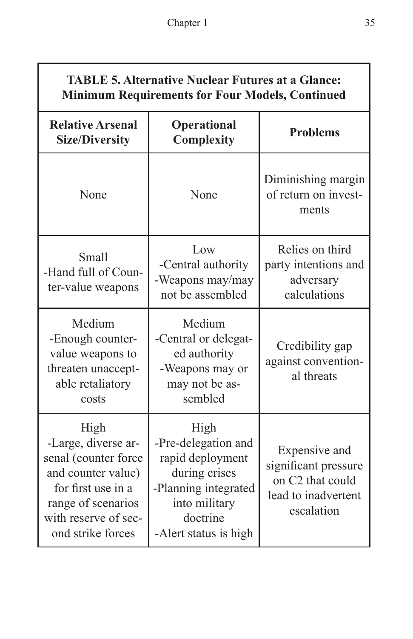| <b>TABLE 5. Alternative Nuclear Futures at a Glance:</b> |
|----------------------------------------------------------|
| <b>Minimum Requirements for Four Models, Continued</b>   |

| <b>Relative Arsenal</b><br><b>Size/Diversity</b>                                                                                                                   | Operational<br>Complexity                                                                                                                      | <b>Problems</b>                                                                                |
|--------------------------------------------------------------------------------------------------------------------------------------------------------------------|------------------------------------------------------------------------------------------------------------------------------------------------|------------------------------------------------------------------------------------------------|
| None                                                                                                                                                               | None                                                                                                                                           | Diminishing margin<br>of return on invest-<br>ments                                            |
| <b>Small</b><br>-Hand full of Coun-<br>ter-value weapons                                                                                                           | Low<br>-Central authority<br>-Weapons may/may<br>not be assembled                                                                              | Relies on third<br>party intentions and<br>adversary<br>calculations                           |
| Medium<br>-Enough counter-<br>value weapons to<br>threaten unaccept-<br>able retaliatory<br>costs                                                                  | Medium<br>-Central or delegat-<br>ed authority<br>-Weapons may or<br>may not be as-<br>sembled                                                 | Credibility gap<br>against convention-<br>al threats                                           |
| High<br>-Large, diverse ar-<br>senal (counter force<br>and counter value)<br>for first use in a<br>range of scenarios<br>with reserve of sec-<br>ond strike forces | High<br>-Pre-delegation and<br>rapid deployment<br>during crises<br>-Planning integrated<br>into military<br>doctrine<br>-Alert status is high | Expensive and<br>significant pressure<br>on C2 that could<br>lead to inadvertent<br>escalation |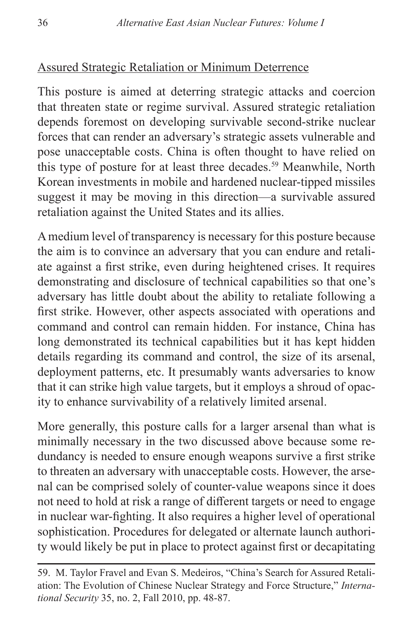# Assured Strategic Retaliation or Minimum Deterrence

This posture is aimed at deterring strategic attacks and coercion that threaten state or regime survival. Assured strategic retaliation depends foremost on developing survivable second-strike nuclear forces that can render an adversary's strategic assets vulnerable and pose unacceptable costs. China is often thought to have relied on this type of posture for at least three decades.<sup>59</sup> Meanwhile, North Korean investments in mobile and hardened nuclear-tipped missiles suggest it may be moving in this direction—a survivable assured retaliation against the United States and its allies.

A medium level of transparency is necessary for this posture because the aim is to convince an adversary that you can endure and retaliate against a first strike, even during heightened crises. It requires demonstrating and disclosure of technical capabilities so that one's adversary has little doubt about the ability to retaliate following a first strike. However, other aspects associated with operations and command and control can remain hidden. For instance, China has long demonstrated its technical capabilities but it has kept hidden details regarding its command and control, the size of its arsenal, deployment patterns, etc. It presumably wants adversaries to know that it can strike high value targets, but it employs a shroud of opacity to enhance survivability of a relatively limited arsenal.

More generally, this posture calls for a larger arsenal than what is minimally necessary in the two discussed above because some redundancy is needed to ensure enough weapons survive a first strike to threaten an adversary with unacceptable costs. However, the arsenal can be comprised solely of counter-value weapons since it does not need to hold at risk a range of different targets or need to engage in nuclear war-fighting. It also requires a higher level of operational sophistication. Procedures for delegated or alternate launch authority would likely be put in place to protect against first or decapitating

<sup>59.</sup> M. Taylor Fravel and Evan S. Medeiros, "China's Search for Assured Retaliation: The Evolution of Chinese Nuclear Strategy and Force Structure," *International Security* 35, no. 2, Fall 2010, pp. 48-87.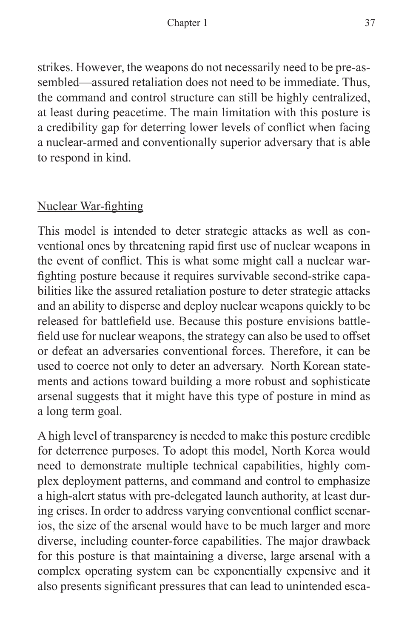strikes. However, the weapons do not necessarily need to be pre-assembled—assured retaliation does not need to be immediate. Thus, the command and control structure can still be highly centralized, at least during peacetime. The main limitation with this posture is a credibility gap for deterring lower levels of conflict when facing a nuclear-armed and conventionally superior adversary that is able to respond in kind.

# Nuclear War-fighting

This model is intended to deter strategic attacks as well as conventional ones by threatening rapid first use of nuclear weapons in the event of conflict. This is what some might call a nuclear warfighting posture because it requires survivable second-strike capabilities like the assured retaliation posture to deter strategic attacks and an ability to disperse and deploy nuclear weapons quickly to be released for battlefield use. Because this posture envisions battlefield use for nuclear weapons, the strategy can also be used to offset or defeat an adversaries conventional forces. Therefore, it can be used to coerce not only to deter an adversary. North Korean statements and actions toward building a more robust and sophisticate arsenal suggests that it might have this type of posture in mind as a long term goal.

A high level of transparency is needed to make this posture credible for deterrence purposes. To adopt this model, North Korea would need to demonstrate multiple technical capabilities, highly complex deployment patterns, and command and control to emphasize a high-alert status with pre-delegated launch authority, at least during crises. In order to address varying conventional conflict scenarios, the size of the arsenal would have to be much larger and more diverse, including counter-force capabilities. The major drawback for this posture is that maintaining a diverse, large arsenal with a complex operating system can be exponentially expensive and it also presents significant pressures that can lead to unintended esca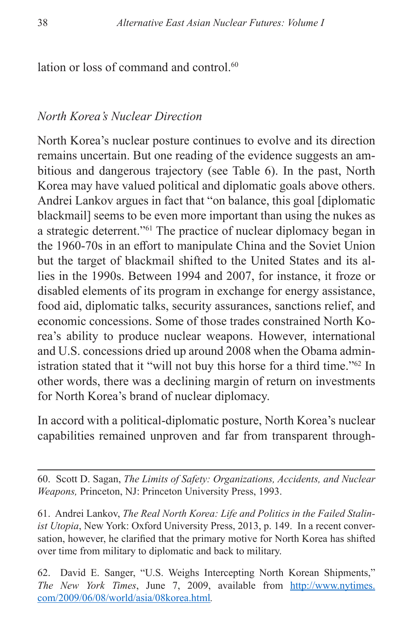lation or loss of command and control.<sup>60</sup>

#### *North Korea's Nuclear Direction*

North Korea's nuclear posture continues to evolve and its direction remains uncertain. But one reading of the evidence suggests an ambitious and dangerous trajectory (see Table 6). In the past, North Korea may have valued political and diplomatic goals above others. Andrei Lankov argues in fact that "on balance, this goal [diplomatic blackmail] seems to be even more important than using the nukes as a strategic deterrent."61 The practice of nuclear diplomacy began in the 1960-70s in an effort to manipulate China and the Soviet Union but the target of blackmail shifted to the United States and its allies in the 1990s. Between 1994 and 2007, for instance, it froze or disabled elements of its program in exchange for energy assistance, food aid, diplomatic talks, security assurances, sanctions relief, and economic concessions. Some of those trades constrained North Korea's ability to produce nuclear weapons. However, international and U.S. concessions dried up around 2008 when the Obama administration stated that it "will not buy this horse for a third time."62 In other words, there was a declining margin of return on investments for North Korea's brand of nuclear diplomacy.

In accord with a political-diplomatic posture, North Korea's nuclear capabilities remained unproven and far from transparent through-

60. Scott D. Sagan, *The Limits of Safety: Organizations, Accidents, and Nuclear Weapons,* Princeton, NJ: Princeton University Press, 1993.

61. Andrei Lankov, *The Real North Korea: Life and Politics in the Failed Stalinist Utopia*, New York: Oxford University Press, 2013, p. 149. In a recent conversation, however, he clarified that the primary motive for North Korea has shifted over time from military to diplomatic and back to military.

62. David E. Sanger, "U.S. Weighs Intercepting North Korean Shipments," *The New York Times*, June 7, 2009, available from [http://www.nytimes.](http://www.nytimes.com/2009/06/08/world/asia/08korea.html) [com/2009/06/08/world/asia/08korea.html](http://www.nytimes.com/2009/06/08/world/asia/08korea.html)*.*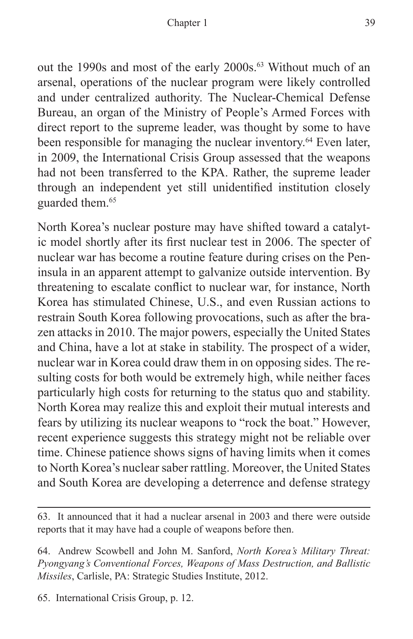out the 1990s and most of the early 2000s.63 Without much of an arsenal, operations of the nuclear program were likely controlled and under centralized authority. The Nuclear-Chemical Defense Bureau, an organ of the Ministry of People's Armed Forces with direct report to the supreme leader, was thought by some to have been responsible for managing the nuclear inventory.<sup>64</sup> Even later, in 2009, the International Crisis Group assessed that the weapons had not been transferred to the KPA. Rather, the supreme leader through an independent yet still unidentified institution closely guarded them.<sup>65</sup>

North Korea's nuclear posture may have shifted toward a catalytic model shortly after its first nuclear test in 2006. The specter of nuclear war has become a routine feature during crises on the Peninsula in an apparent attempt to galvanize outside intervention. By threatening to escalate conflict to nuclear war, for instance, North Korea has stimulated Chinese, U.S., and even Russian actions to restrain South Korea following provocations, such as after the brazen attacks in 2010. The major powers, especially the United States and China, have a lot at stake in stability. The prospect of a wider, nuclear war in Korea could draw them in on opposing sides. The resulting costs for both would be extremely high, while neither faces particularly high costs for returning to the status quo and stability. North Korea may realize this and exploit their mutual interests and fears by utilizing its nuclear weapons to "rock the boat." However, recent experience suggests this strategy might not be reliable over time. Chinese patience shows signs of having limits when it comes to North Korea's nuclear saber rattling. Moreover, the United States and South Korea are developing a deterrence and defense strategy

65. International Crisis Group, p. 12.

<sup>63.</sup> It announced that it had a nuclear arsenal in 2003 and there were outside reports that it may have had a couple of weapons before then.

<sup>64.</sup> Andrew Scowbell and John M. Sanford, *North Korea's Military Threat: Pyongyang's Conventional Forces, Weapons of Mass Destruction, and Ballistic Missiles*, Carlisle, PA: Strategic Studies Institute, 2012.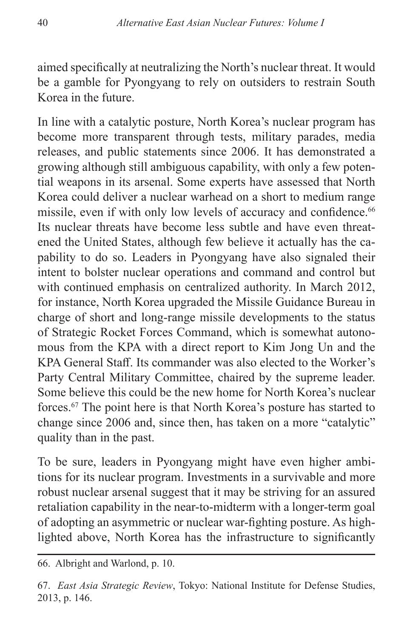aimed specifically at neutralizing the North's nuclear threat. It would be a gamble for Pyongyang to rely on outsiders to restrain South Korea in the future.

In line with a catalytic posture, North Korea's nuclear program has become more transparent through tests, military parades, media releases, and public statements since 2006. It has demonstrated a growing although still ambiguous capability, with only a few potential weapons in its arsenal. Some experts have assessed that North Korea could deliver a nuclear warhead on a short to medium range missile, even if with only low levels of accuracy and confidence.<sup>66</sup> Its nuclear threats have become less subtle and have even threatened the United States, although few believe it actually has the capability to do so. Leaders in Pyongyang have also signaled their intent to bolster nuclear operations and command and control but with continued emphasis on centralized authority. In March 2012, for instance, North Korea upgraded the Missile Guidance Bureau in charge of short and long-range missile developments to the status of Strategic Rocket Forces Command, which is somewhat autonomous from the KPA with a direct report to Kim Jong Un and the KPA General Staff. Its commander was also elected to the Worker's Party Central Military Committee, chaired by the supreme leader. Some believe this could be the new home for North Korea's nuclear forces.67 The point here is that North Korea's posture has started to change since 2006 and, since then, has taken on a more "catalytic" quality than in the past.

To be sure, leaders in Pyongyang might have even higher ambitions for its nuclear program. Investments in a survivable and more robust nuclear arsenal suggest that it may be striving for an assured retaliation capability in the near-to-midterm with a longer-term goal of adopting an asymmetric or nuclear war-fighting posture. As highlighted above, North Korea has the infrastructure to significantly

<sup>66.</sup> Albright and Warlond, p. 10.

<sup>67.</sup> *East Asia Strategic Review*, Tokyo: National Institute for Defense Studies, 2013, p. 146.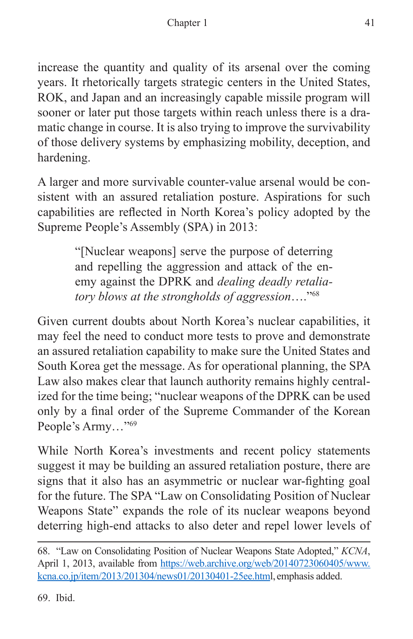increase the quantity and quality of its arsenal over the coming years. It rhetorically targets strategic centers in the United States, ROK, and Japan and an increasingly capable missile program will sooner or later put those targets within reach unless there is a dramatic change in course. It is also trying to improve the survivability of those delivery systems by emphasizing mobility, deception, and hardening.

A larger and more survivable counter-value arsenal would be consistent with an assured retaliation posture. Aspirations for such capabilities are reflected in North Korea's policy adopted by the Supreme People's Assembly (SPA) in 2013:

> "[Nuclear weapons] serve the purpose of deterring and repelling the aggression and attack of the enemy against the DPRK and *dealing deadly retaliatory blows at the strongholds of aggression*…."68

Given current doubts about North Korea's nuclear capabilities, it may feel the need to conduct more tests to prove and demonstrate an assured retaliation capability to make sure the United States and South Korea get the message. As for operational planning, the SPA Law also makes clear that launch authority remains highly centralized for the time being; "nuclear weapons of the DPRK can be used only by a final order of the Supreme Commander of the Korean People's Army…"69

While North Korea's investments and recent policy statements suggest it may be building an assured retaliation posture, there are signs that it also has an asymmetric or nuclear war-fighting goal for the future. The SPA "Law on Consolidating Position of Nuclear Weapons State" expands the role of its nuclear weapons beyond deterring high-end attacks to also deter and repel lower levels of

69. Ibid.

<sup>68. &</sup>quot;Law on Consolidating Position of Nuclear Weapons State Adopted," *KCNA*, April 1, 2013, available from [https://web.archive.org/web/20140723060405/www.](https://web.archive.org/web/20140723060405/www.kcna.co.jp/item/2013/201304/news01/20130401-25ee.html) [kcna.co.jp/item/2013/201304/news01/20130401-25ee.htm](https://web.archive.org/web/20140723060405/www.kcna.co.jp/item/2013/201304/news01/20130401-25ee.html)l, emphasis added.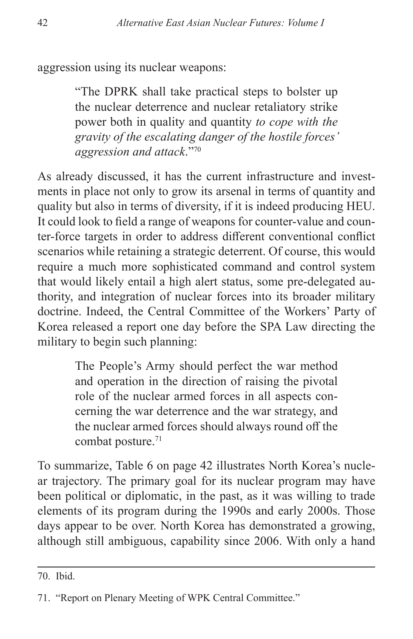aggression using its nuclear weapons:

"The DPRK shall take practical steps to bolster up the nuclear deterrence and nuclear retaliatory strike power both in quality and quantity *to cope with the gravity of the escalating danger of the hostile forces' aggression and attack*."70

As already discussed, it has the current infrastructure and investments in place not only to grow its arsenal in terms of quantity and quality but also in terms of diversity, if it is indeed producing HEU. It could look to field a range of weapons for counter-value and counter-force targets in order to address different conventional conflict scenarios while retaining a strategic deterrent. Of course, this would require a much more sophisticated command and control system that would likely entail a high alert status, some pre-delegated authority, and integration of nuclear forces into its broader military doctrine. Indeed, the Central Committee of the Workers' Party of Korea released a report one day before the SPA Law directing the military to begin such planning:

> The People's Army should perfect the war method and operation in the direction of raising the pivotal role of the nuclear armed forces in all aspects concerning the war deterrence and the war strategy, and the nuclear armed forces should always round off the combat posture.<sup>71</sup>

To summarize, Table 6 on page 42 illustrates North Korea's nuclear trajectory. The primary goal for its nuclear program may have been political or diplomatic, in the past, as it was willing to trade elements of its program during the 1990s and early 2000s. Those days appear to be over. North Korea has demonstrated a growing, although still ambiguous, capability since 2006. With only a hand

<sup>70.</sup> Ibid.

<sup>71. &</sup>quot;Report on Plenary Meeting of WPK Central Committee."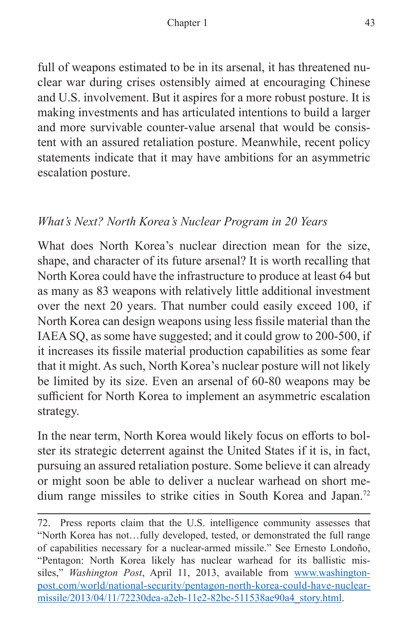full of weapons estimated to be in its arsenal, it has threatened nuclear war during crises ostensibly aimed at encouraging Chinese and U.S. involvement. But it aspires for a more robust posture. It is making investments and has articulated intentions to build a larger and more survivable counter-value arsenal that would be consistent with an assured retaliation posture. Meanwhile, recent policy statements indicate that it may have ambitions for an asymmetric escalation posture.

# *What's Next? North Korea's Nuclear Program in 20 Years*

What does North Korea's nuclear direction mean for the size, shape, and character of its future arsenal? It is worth recalling that North Korea could have the infrastructure to produce at least 64 but as many as 83 weapons with relatively little additional investment over the next 20 years. That number could easily exceed 100, if North Korea can design weapons using less fissile material than the IAEA SQ, as some have suggested; and it could grow to 200-500, if it increases its fissile material production capabilities as some fear that it might. As such, North Korea's nuclear posture will not likely be limited by its size. Even an arsenal of 60-80 weapons may be sufficient for North Korea to implement an asymmetric escalation strategy.

In the near term, North Korea would likely focus on efforts to bolster its strategic deterrent against the United States if it is, in fact, pursuing an assured retaliation posture. Some believe it can already or might soon be able to deliver a nuclear warhead on short medium range missiles to strike cities in South Korea and Japan.72

<sup>72.</sup> Press reports claim that the U.S. intelligence community assesses that "North Korea has not…fully developed, tested, or demonstrated the full range of capabilities necessary for a nuclear-armed missile." See Ernesto Londoño, "Pentagon: North Korea likely has nuclear warhead for its ballistic missiles," *Washington Post*, April 11, 2013, available from [www.washington](www.washingtonpost.com/world/national-security/pentagon-north-korea-could-have-nuclear-missile/2013/04/11/72230dea-a2eb-11e2-82bc-511538ae90a4_story.html)[post.com/world/national-security/pentagon-north-korea-could-have-nuclear](www.washingtonpost.com/world/national-security/pentagon-north-korea-could-have-nuclear-missile/2013/04/11/72230dea-a2eb-11e2-82bc-511538ae90a4_story.html)[missile/2013/04/11/72230dea-a2eb-11e2-82bc-511538ae90a4\\_story.html.](www.washingtonpost.com/world/national-security/pentagon-north-korea-could-have-nuclear-missile/2013/04/11/72230dea-a2eb-11e2-82bc-511538ae90a4_story.html)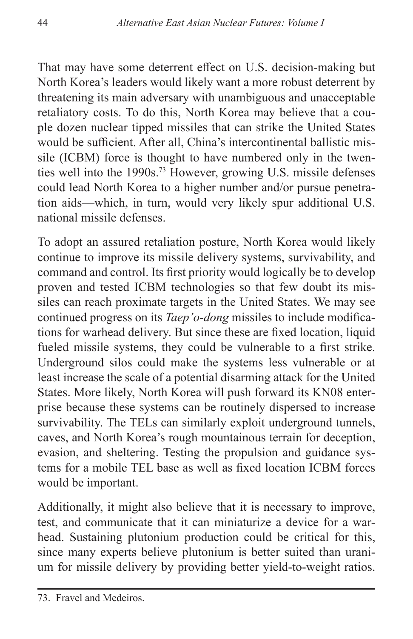That may have some deterrent effect on U.S. decision-making but North Korea's leaders would likely want a more robust deterrent by threatening its main adversary with unambiguous and unacceptable retaliatory costs. To do this, North Korea may believe that a couple dozen nuclear tipped missiles that can strike the United States would be sufficient. After all, China's intercontinental ballistic missile (ICBM) force is thought to have numbered only in the twenties well into the 1990s.73 However, growing U.S. missile defenses could lead North Korea to a higher number and/or pursue penetration aids—which, in turn, would very likely spur additional U.S. national missile defenses.

To adopt an assured retaliation posture, North Korea would likely continue to improve its missile delivery systems, survivability, and command and control. Its first priority would logically be to develop proven and tested ICBM technologies so that few doubt its missiles can reach proximate targets in the United States. We may see continued progress on its *Taep'o-dong* missiles to include modifications for warhead delivery. But since these are fixed location, liquid fueled missile systems, they could be vulnerable to a first strike. Underground silos could make the systems less vulnerable or at least increase the scale of a potential disarming attack for the United States. More likely, North Korea will push forward its KN08 enterprise because these systems can be routinely dispersed to increase survivability. The TELs can similarly exploit underground tunnels, caves, and North Korea's rough mountainous terrain for deception, evasion, and sheltering. Testing the propulsion and guidance systems for a mobile TEL base as well as fixed location ICBM forces would be important.

Additionally, it might also believe that it is necessary to improve, test, and communicate that it can miniaturize a device for a warhead. Sustaining plutonium production could be critical for this, since many experts believe plutonium is better suited than uranium for missile delivery by providing better yield-to-weight ratios.

<sup>73.</sup> Fravel and Medeiros.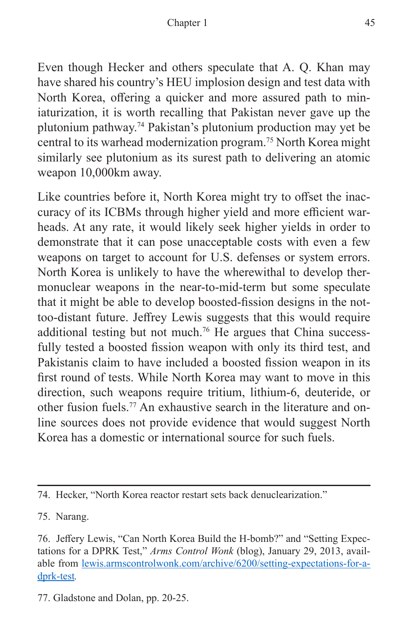Even though Hecker and others speculate that A. Q. Khan may have shared his country's HEU implosion design and test data with North Korea, offering a quicker and more assured path to miniaturization, it is worth recalling that Pakistan never gave up the plutonium pathway.74 Pakistan's plutonium production may yet be central to its warhead modernization program.75 North Korea might similarly see plutonium as its surest path to delivering an atomic weapon 10,000km away.

Like countries before it, North Korea might try to offset the inaccuracy of its ICBMs through higher yield and more efficient warheads. At any rate, it would likely seek higher yields in order to demonstrate that it can pose unacceptable costs with even a few weapons on target to account for U.S. defenses or system errors. North Korea is unlikely to have the wherewithal to develop thermonuclear weapons in the near-to-mid-term but some speculate that it might be able to develop boosted-fission designs in the nottoo-distant future. Jeffrey Lewis suggests that this would require additional testing but not much.<sup>76</sup> He argues that China successfully tested a boosted fission weapon with only its third test, and Pakistanis claim to have included a boosted fission weapon in its first round of tests. While North Korea may want to move in this direction, such weapons require tritium, lithium-6, deuteride, or other fusion fuels.<sup>77</sup> An exhaustive search in the literature and online sources does not provide evidence that would suggest North Korea has a domestic or international source for such fuels.

<sup>74.</sup> Hecker, "North Korea reactor restart sets back denuclearization."

<sup>75.</sup> Narang.

<sup>76.</sup> Jeffery Lewis, "Can North Korea Build the H-bomb?" and "Setting Expectations for a DPRK Test," *Arms Control Wonk* (blog), January 29, 2013, available from [lewis.armscontrolwonk.com/archive/6200/setting-expectations-for-a](lewis.armscontrolwonk.com/archive/6200/setting-expectations-for-a-dprk-test)[dprk-test](lewis.armscontrolwonk.com/archive/6200/setting-expectations-for-a-dprk-test)*.*

<sup>77.</sup> Gladstone and Dolan, pp. 20-25.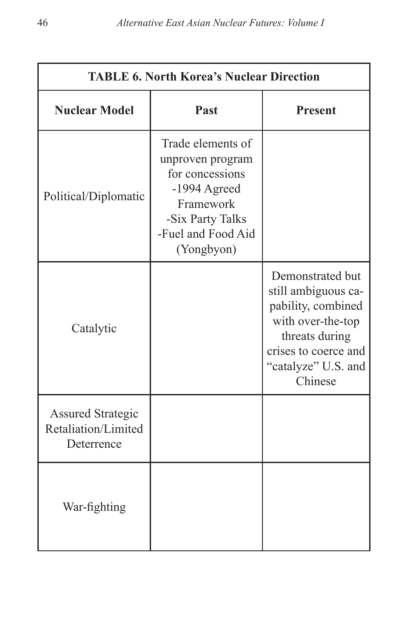| <b>TABLE 6. North Korea's Nuclear Direction</b>               |                                                                                                                                                 |                                                                                                                                                                |  |
|---------------------------------------------------------------|-------------------------------------------------------------------------------------------------------------------------------------------------|----------------------------------------------------------------------------------------------------------------------------------------------------------------|--|
| <b>Nuclear Model</b>                                          | Past                                                                                                                                            | <b>Present</b>                                                                                                                                                 |  |
| Political/Diplomatic                                          | Trade elements of<br>unproven program<br>for concessions<br>$-1994$ Agreed<br>Framework<br>-Six Party Talks<br>-Fuel and Food Aid<br>(Yongbyon) |                                                                                                                                                                |  |
| Catalytic                                                     |                                                                                                                                                 | Demonstrated but<br>still ambiguous ca-<br>pability, combined<br>with over-the-top<br>threats during<br>crises to coerce and<br>"catalyze" U.S. and<br>Chinese |  |
| <b>Assured Strategic</b><br>Retaliation/Limited<br>Deterrence |                                                                                                                                                 |                                                                                                                                                                |  |
| War-fighting                                                  |                                                                                                                                                 |                                                                                                                                                                |  |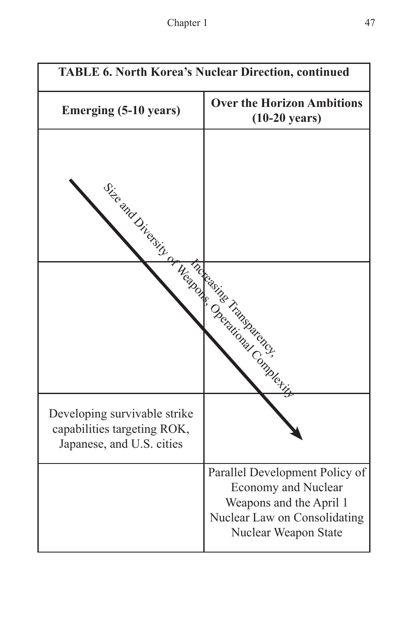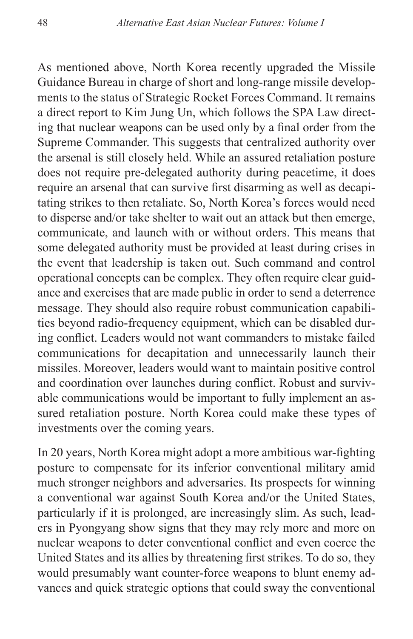As mentioned above, North Korea recently upgraded the Missile Guidance Bureau in charge of short and long-range missile developments to the status of Strategic Rocket Forces Command. It remains a direct report to Kim Jung Un, which follows the SPA Law directing that nuclear weapons can be used only by a final order from the Supreme Commander. This suggests that centralized authority over the arsenal is still closely held. While an assured retaliation posture does not require pre-delegated authority during peacetime, it does require an arsenal that can survive first disarming as well as decapitating strikes to then retaliate. So, North Korea's forces would need to disperse and/or take shelter to wait out an attack but then emerge, communicate, and launch with or without orders. This means that some delegated authority must be provided at least during crises in the event that leadership is taken out. Such command and control operational concepts can be complex. They often require clear guidance and exercises that are made public in order to send a deterrence message. They should also require robust communication capabilities beyond radio-frequency equipment, which can be disabled during conflict. Leaders would not want commanders to mistake failed communications for decapitation and unnecessarily launch their missiles. Moreover, leaders would want to maintain positive control and coordination over launches during conflict. Robust and survivable communications would be important to fully implement an assured retaliation posture. North Korea could make these types of investments over the coming years.

In 20 years, North Korea might adopt a more ambitious war-fighting posture to compensate for its inferior conventional military amid much stronger neighbors and adversaries. Its prospects for winning a conventional war against South Korea and/or the United States, particularly if it is prolonged, are increasingly slim. As such, leaders in Pyongyang show signs that they may rely more and more on nuclear weapons to deter conventional conflict and even coerce the United States and its allies by threatening first strikes. To do so, they would presumably want counter-force weapons to blunt enemy advances and quick strategic options that could sway the conventional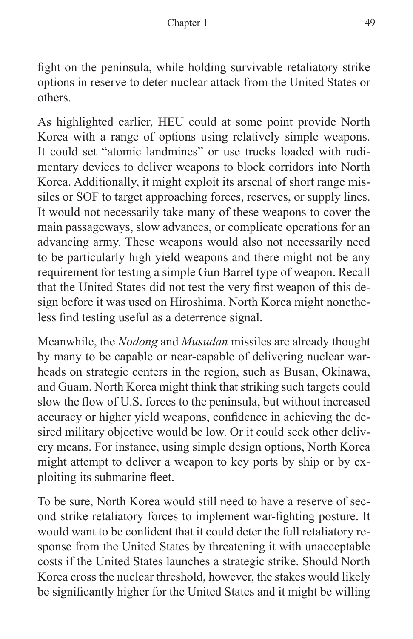fight on the peninsula, while holding survivable retaliatory strike options in reserve to deter nuclear attack from the United States or others.

As highlighted earlier, HEU could at some point provide North Korea with a range of options using relatively simple weapons. It could set "atomic landmines" or use trucks loaded with rudimentary devices to deliver weapons to block corridors into North Korea. Additionally, it might exploit its arsenal of short range missiles or SOF to target approaching forces, reserves, or supply lines. It would not necessarily take many of these weapons to cover the main passageways, slow advances, or complicate operations for an advancing army. These weapons would also not necessarily need to be particularly high yield weapons and there might not be any requirement for testing a simple Gun Barrel type of weapon. Recall that the United States did not test the very first weapon of this design before it was used on Hiroshima. North Korea might nonetheless find testing useful as a deterrence signal.

Meanwhile, the *Nodong* and *Musudan* missiles are already thought by many to be capable or near-capable of delivering nuclear warheads on strategic centers in the region, such as Busan, Okinawa, and Guam. North Korea might think that striking such targets could slow the flow of U.S. forces to the peninsula, but without increased accuracy or higher yield weapons, confidence in achieving the desired military objective would be low. Or it could seek other delivery means. For instance, using simple design options, North Korea might attempt to deliver a weapon to key ports by ship or by exploiting its submarine fleet.

To be sure, North Korea would still need to have a reserve of second strike retaliatory forces to implement war-fighting posture. It would want to be confident that it could deter the full retaliatory response from the United States by threatening it with unacceptable costs if the United States launches a strategic strike. Should North Korea cross the nuclear threshold, however, the stakes would likely be significantly higher for the United States and it might be willing